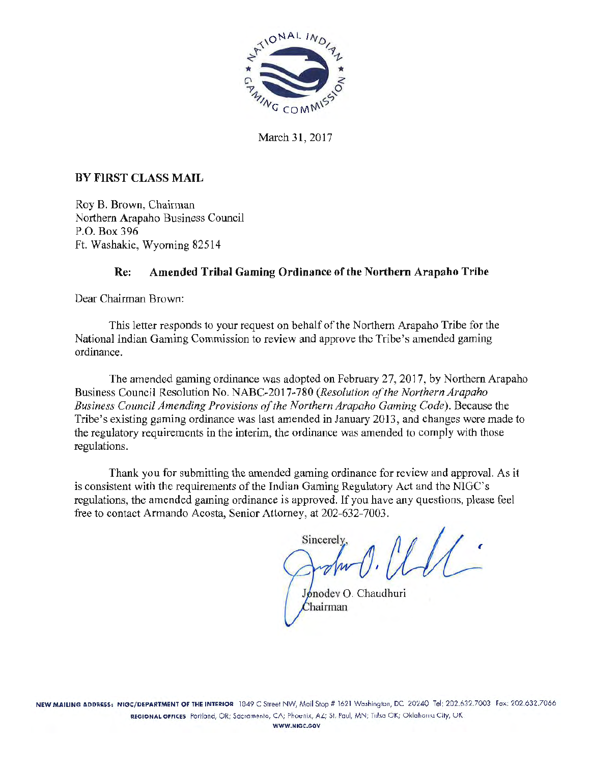

March 31, 2017

# BY FIRST CLASS MAIL

Roy B. Brown, Chairman Northern Arapaho Business Council P.O. Box 396 Ft. Washakie, Wyoming 82514

# Re: Amended Tribal Gaming Ordinance of the Northern Arapaho Tribe

Dear Chairman Brown:

This letter responds to your request on behalf of the Northern Arapaho Tribe for the National Indian Gaming Commission to review and approve the Tribe's amended gaming ordinance.

The amended gaming ordinance was adopted on February 27, 2017, by Northern Arapaho Business Council Resolution No. NABC-2017-780 *(Resolution of the Northern Arapaho Business Council Amending Provisions of the Northern Arapaho Gaming Code).* Because the Tribe's existing gaming ordinance was last amended in January 2013, and changes were made to the regulatory requirements in the interim, the ordinance was amended to comply with those regulations.

Thank you for submitting the amended gaming ordinance for review and approval. As it is consistent with the requirements of the Indian Gaming Regulatory Act and the NIGC's regulations, the amended gaming ordinance is approved. If you have any questions, please feel free to contact Armando Acosta, Senior Attorney, at 202-632-7003.

Sincerely

Jonodev O. Chaudhuri Chairman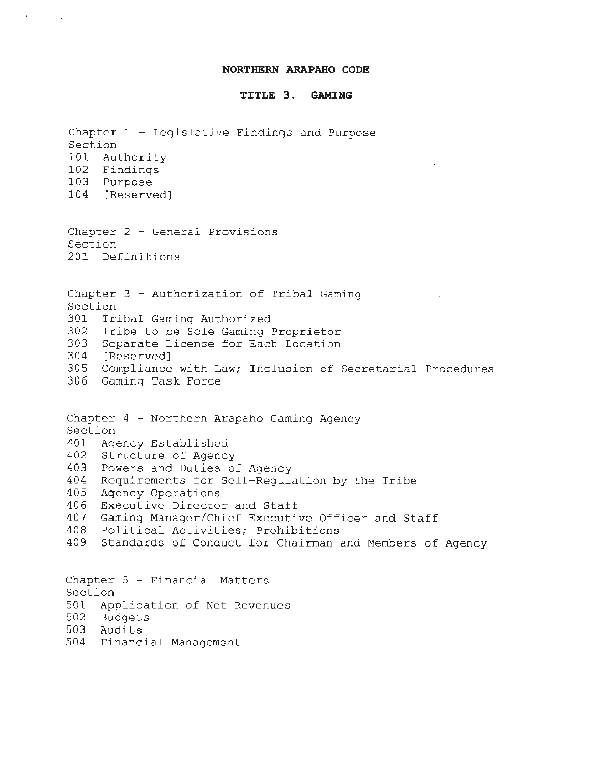#### **NORTHERN ARAPAHO CODE**

### **TITLE 3. GAMING**

Chapter  $1$  - Legislative Findings and Purpose Section 101 Authority 102 Findings 103 Purpose 104 [Reserved) Chapter 2 - General Provisions Section 201 Definitions Chapter 3 - Authorization of Tribal Gaming Section 301 Tribal Gaming Authorized 302 Tribe to be Sole Gaming Proprietor 303 Separate License for Each Location 304 [Reserved) 305 Compliance with Law; Inclusion of Secretarial Procedures 306 Gaming Task Force Chapter 4 - Northern Arapaho Gaming Agency Section 401 Agency Established 402 Structure of Agency 403 Powers and Duties of Agency 404 Requirements for Self-Regulation by the Tribe 405 Agency Operations 406 Executive Director and Staff 407 Gaming Manager/Chief Executive Officer and Staff 408 Political Activities; Prohibitions 409 Standards of Conduct for Chairman and Members of Agency Chapter 5 - Financial Matters Section 501 Application of Net Revenues 502 Budgets 503 Audits 504 Financial Management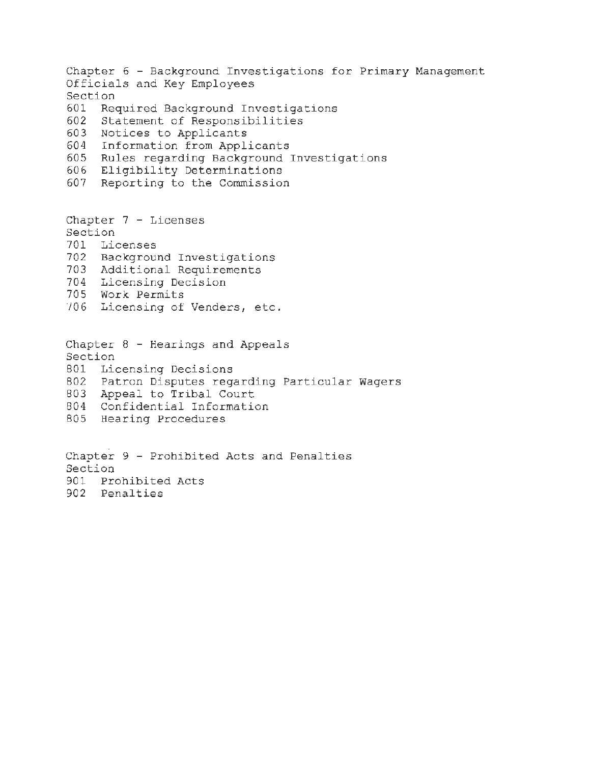Chapter 6 - Background Investigations for Primary Management Officials and Key Employees Section 601 Required Background Investigations 602 Statement of Responsibilities 603 Notices to Applicants 604 Information from Applicants 605 Rules regarding Background Investigations 606 Eligibility Determinations 607 Reporting to the Commission Chapter 7 - Licenses Section 701 Licenses 702 Background Investigations 703 Additional Requirements 704 Licensing Decision 705 Work Permits ·106 Licensing of Venders, etc. Chapter 8 - Hearings and Appeals Section 801 Licensing Decisions 802 Patron Disputes regarding Particular Wagers 803 Appeal to Tribal Court 804 Confidential Information 805 Hearing Procedures Chapter 9 - Prohibited Acts and Penalties Section

901 Prohibited Acts 902 Penalties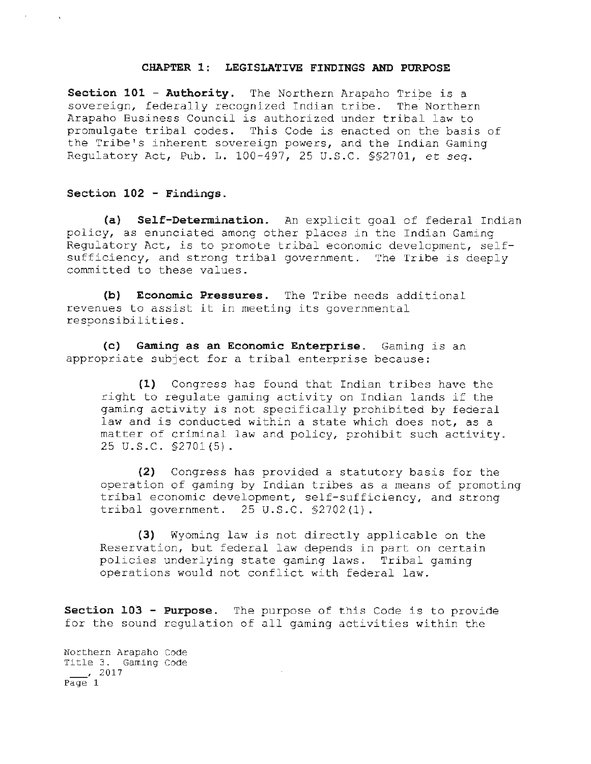#### **CHAPTER 1: LEGISLATIVE FINDINGS AND PURPOSE**

**Section 101 - Authority.** The Northern Arapaho Tripe is a sovereign, federally recognized Indian tribe. The Northern Arapaho Business Council is authorized under tribal law to promulgate tribal codes. This Code is enacted on the basis of the Tribe's inherent sovereign powers, and the Indian Gaming Regulatory Act, Pub. L. 100-497, 25 U.S.C. §§2701, *et* seq.

## **Section 102 - Findings.**

 $\mathbf{F}^{(1)}$  and  $\mathbf{F}^{(2)}$  and  $\mathbf{F}^{(3)}$ 

**(a) Self-Determination.** An explicit goal of federal Indian policy, as enunciated among other places in the Indian Gaming Regulatory Act, is to promote tribal economic development, selfsufficiency, and strong tribal government. The Tribe is deeply committed to these values.

**(b) Economic Pressures.** The Tribe needs additional revenues to assist it in meeting its governmental responsibilities.

**(c) Gaming as an Economic Enterprise.** Gaming is an appropriate subject for. a tribal enterprise because:

**(1)** Congress has found that Indian tribes have the right to regulate gaming activity on Indian lands if the gaming activity is not specifically prohibited by federal law and is conducted within a state which does not, as a matter of criminal law and policy, prohibit such activity. 25 u.s.c. §2701 (5).

**(2)** Congress has provided a statutory basis for the operation of gaming by Indian tribes as a means of promoting tribal economic development, self-sufficiency, and strong tribal government. 25 U.S.C. §2702(1).

**(3)** Wyoming law is not directly applicable on the Reservation, but federal law depends in part on certain policies underlying state gaming laws. Tribal gaming operations would not conflict with federal law.

**Section 103 - Purpose.** The purpose of this Code is to provide for the sound regulation of all gaming activities within the

Northern Arapaho Code Title 3. Gaming Code  $\frac{1}{2017}$ Page 1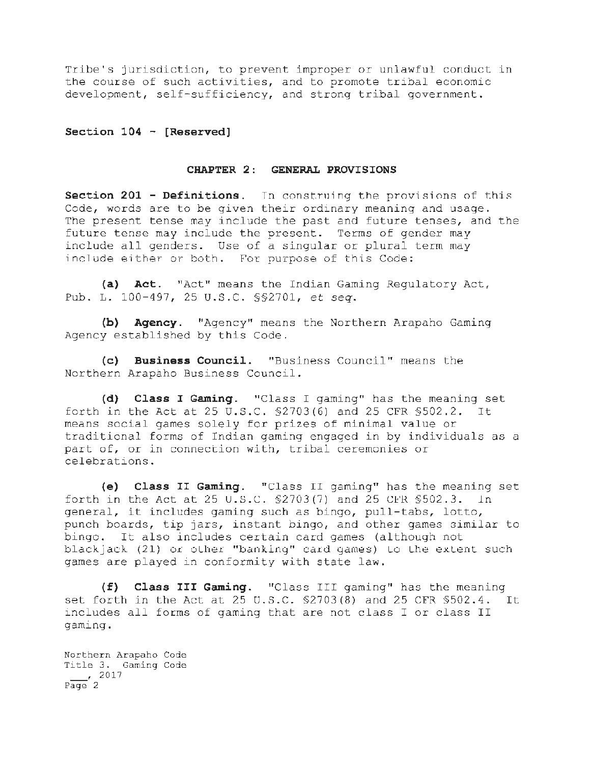Tribe's jurisdiction, to prevent improper or unlawful conduct in the course of such activities, and to promote tribal economic development, self-sufficiency, and strong tribal government.

**Section 104 - [Reserved]** 

### **CHAPTER 2: GENERAL PROVISIONS**

**Section 201 - Definitions.** In construing the provisions of this Code, words are to be given their ordinary meaning and usage. The present tense may include the past and future tenses, and the future tense may include the present. Terms of gender may include all genders. Use of a singular or plural term may include either or both. For purpose of this Code:

**(a) Act.** "Act" means the Indian Gaming Regulatory Act, Pub. L. 100-497, 25 U.S.C. §§2701, *et seq.* 

**(b) Agency.** "Agency" means the Northern Arapaho Gaming Agency established by this Code.

**(c) Business Council.** "Business Council" means the Northern Arapaho Business Council.

**(d) Class I Gaming.** "Class I gaming" has the meaning set forth in the Act at 25 U.S.C. §2703(6) and 25 CFR §502.2. It means social games solely for prizes of minimal value or traditional forms of Indian gaming engaged in by individuals as a part of, or in connection with, tribal ceremonies or celebrations.

**(e) Class II Gaming.** "Class II gaming" has the meaning set forth in the Act at 25 U.S.C.  $$2703(7)$  and 25 CFR  $$502.3$ . In general, it includes gaming such as bingo, pull-tabs, lotto, punch boards, tip jars, instant bingo, and other games similar to bingo. It also includes certain card games (although not blackjack (21) or other "banking" card games) to the extent such games are played in conformity with state law.

(£) **Class III Gaming.** "Class III gaming" has the meaning set forth in the Act at 25 U.S.C. §2703(8) and 25 CFR §502.4. It includes all forms of gaming that are not class I or class II gaming.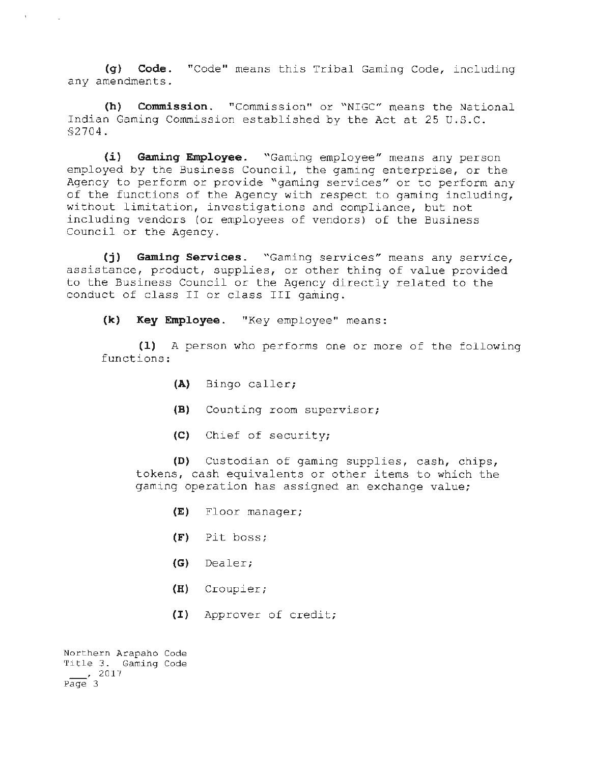**(q) Code.** "Code" means this Tribal Gaming Code, including any amendments.

**(h) Commission.** "Commission" or "NIGC" means the National Indian Gaming Commission established by the Act at 25 U. S.C. §2704.

**(i) Gaminq Employee.** "Gaming employee" means any person employed by the Business Council, the gaming enterprise, or the Agency to perform or provide "gaming services" or to perform any of the functions of the Agency with respect to gaming including, without limitation, investigations and compliance, but not including vendors (or employees of vendors) of the Business Council or the Agency.

**(j) Gaming Services.** "Gaming services" means any service, assistance, product, supplies, or other thing of value provided to the Business Council or the Agency directly related to the conduct of class II or class III gaming.

**(k) Key Employee.** "Key employee" means:

**(1)** A person who performs one or more of the following functions:

- **(A)** Bingo caller;
- **(B)** Counting room supervisor;
- (C) Chief of security;

**(D)** Custodian of gaming supplies, cash, chips, tokens, cash equivalents or other items to which the gaming operation has assigned an exchange value;

- **(E)** Floor manager;
- **(F)** Pit boss;
- **(G)** Dealer;
- **(H)** Croupier;
- (I) Approver of credit;

Northern Arapaho Code Title 3. Gaming Code ' 2017 Page 3

 $\mathbf{r} = \mathbf{r}$  .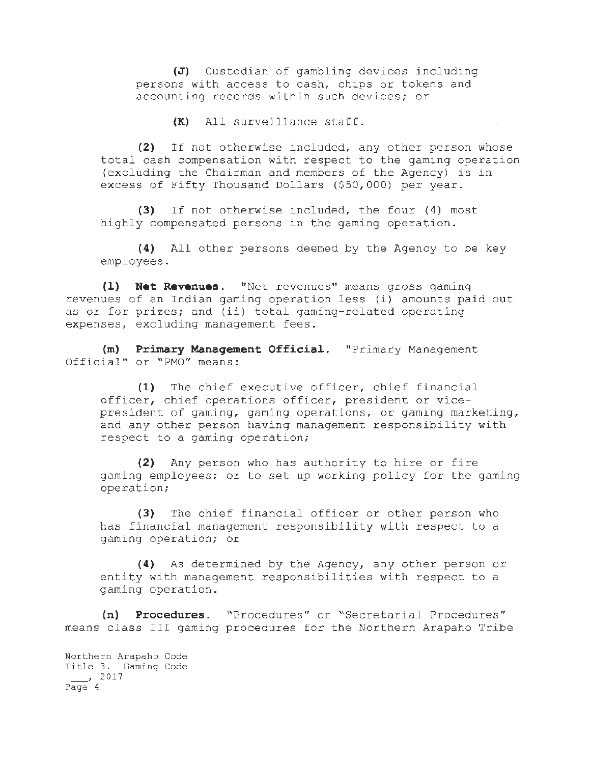(J) Custodian of gambling devices including persons with access to cash, chips or tokens and accounting records within such devices; or

**(K)** All surveillance staff.

(2) If not otherwise included, any other person whose total cash compensation with respect to the gaming operation (excluding the Chairman and members of the Agency) is in excess of Fifty Thousand Dollars  $(550,000)$  per year.

(3) If not otherwise included, the four (4) most highly compensated persons in the gaming operation.

**(4)** All other persons deemed by the Agency to be key employees.

**(1) Net Revenues.** "Net revenues" means gross gaming revenues of an Indian gaming operation less (i) amounts paid out as or for prizes; and (ii) total gaming-related operating expenses, excluding management fees.

**(m) Primary Management Official.** "Primary Management Official" or "PMO" means:

**(1)** The chief executive officer, chief financial officer, chief operations officer, president or vicepresident of gaming, gaming operations, or gaming marketing, and any other person having management responsibility with respect to a gaming operation;

**(2)** Any person who has authority to hire or fire gaming employees; or to set up working policy for the gaming operation;

(3) The chief financial officer or other person who has financial management responsibility with respect to a gaming operation; or

**(4)** As determined by the Agency, any other person or entity with management responsibilities with respect to a gaming operation.

**(n) Procedures.** "Procedures" or "Secretarial Procedures" means class III gaming procedures for the Northern Arapaho Tribe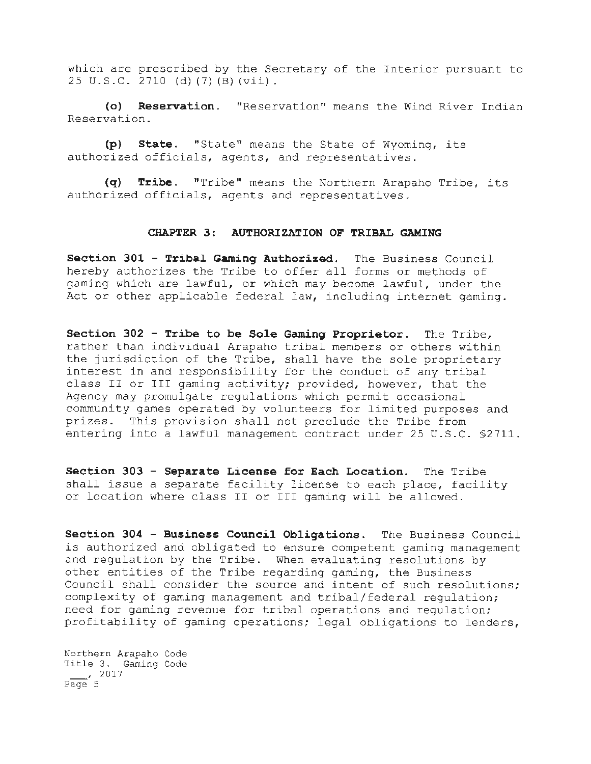which are prescribed by the Secretary of the Interior pursuant to 25 U.S.C. 2710 (d) (7) (B) (vii).

**(o) Reservation.** "Reservation" means the Wind River Indian Reservation.

**(p) State.** "State" means the State of Wyoming, its authorized officials, agents, and representatives.

**(q) Tribe.** "Tribe" means the Northern Arapaho Tribe, its authorized officials, agents and representatives.

### **CHAPTER 3: AUTHORIZATION OF TRIBAL GAMING**

**Section 301 - Tribal Gaming Authorized.** The Business Council hereby authorizes the Tribe to offer all forms or methods of gaming which are lawful, or which may become lawful, under the Act or other applicable federal law, including internet gaming.

**Section 302 - Tribe to be Sole Gaming Proprietor.** The Tribe, rather than individual Arapaho tribal members or others within the jurisdiction of the Tribe, shall have the sole proprietary interest in and responsibility for the conduct of any tribal class II or III gaming activity; provided, however, that the Agency may promulgate regulations which permit occasional community games operated by volunteers for limited purposes and prizes. This provision shall not preclude the Tribe from entering into a lawful management contract under 25 U.S.C. §2711.

**Section 303 - Separate License for Each Location.** The Tribe shall issue a separate facility license to each place, facility or location where class II or III gaming will be allowed.

**Section 304 - Business Council Obligations.** The Business Council *is* authorized and obligated to ensure competent gaming management and regulation by the Tribe. When evaluating resolutions by other entities of the Tribe regarding gaming, the Business Council shall consider the source and intent of such resolutions; complexity of gaming management and tribal/federal regulation; need for gaming revenue for tribal operations and regulation; profitability of gaming operations; legal obligations to lenders,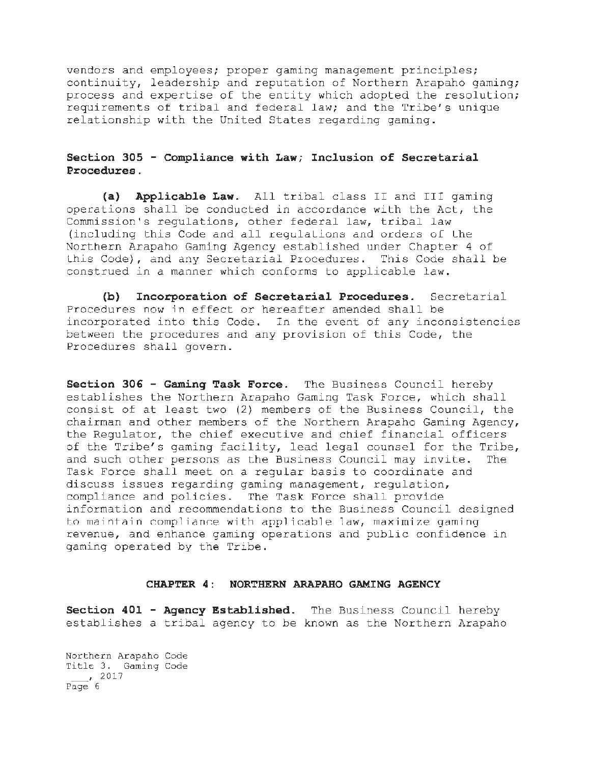vendors and employees; proper gaming management principles; continuity, leadership and reputation of Northern Arapaho gaming; process and expertise of the entity which adopted the resolution; requirements of tribal and federal law; and the Tribe's unique relationship with the United States regarding gaming.

## **Section 305 - Compliance with Law; Inclusion of Secretarial Procedures.**

**(a) Applicable Law.** All tribal class II and III gaming operations shall be conducted in accordance with the Act, the Commission's regulations, other federal law, tribal law (including this Code and all regulaLlons and orders of Lhe Northern Arapaho Gaming Agency established under Chapter 4 of Lhls Code), and any Secretarial Procedures. This Code shall be construed in a manner which conforms to applicable law.

**(b) Incorporation of Secretarial Procedures.** Secretarial Procedures now in effect or hereafter amended shall be incorporated into this Code. In the event ot any inconsistencies between the procedures and any provision of this Code, the Procedures shall govern.

**Section 306 - Gaming Task Force.** The Business Council hereby establishes the Northern Arapaho Gaming Task Force, which shall consist of at least two (2) members of the Business Council, the chairman and other members of the Northern Arapaho Gaming Agency, the Regulator, the chief executive and chief financial officers of the Tribe's gaming facility, lead legal counsel for the Tribe, and such other persons as the Business Council may invite. The Task Force shall meet on a regular basis to coordinate and discuss issues regarding gaming management, regulation, compliance and policies. The Task Force shall provide information and recommendations to the Business Council designed to maintain compliance with applicable law, maximize gaming revenue, and enhance gaming operations and public confidence in gaming operated by the Tribe.

#### **CHAPTER 4: NORTHERN ARAPAHO GAMING AGENCY**

**Section 401 - Agency Established.** The Business Council hereby establishes a tribal agency to be known as the Northern Arapaho

Northern Arapaho Code Title 3. Gaming Code  $\overline{Page}$ , 2017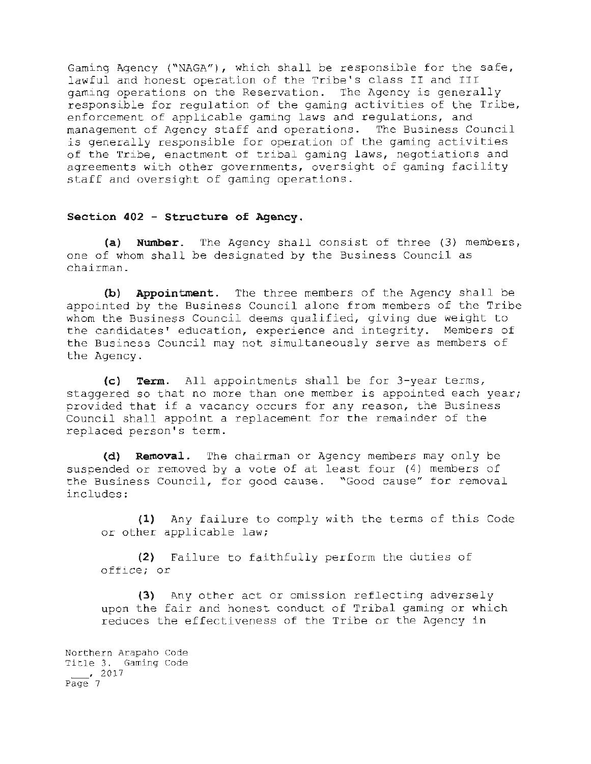Gaming Agency ("NAGA"), which shall be responsible for the safe, lawful and honest operation of the Tribe's class II and III gaming operations on the Reservation. The Agency is generally responsible for regulation of the gaming activities of the Tribe, enforcement of applicable gaming laws and regulations, and management of Agency staff and operations. The Business Council is generally responsible for operation of the gaming activities of the Tribe, enactment of tribal gaming laws, negotiations and agreements with other governments, oversight of gaming facility staff and oversight of gaming operations.

### **Section 402 - Structure of Agency .**

(a) **Number**. The Agency shall consist of three (3) members, one of whom shall be designated by the Business Council as chairman.

(b) Appointment. The three members of the Agency shall be appointed by the Business Council alone from members of the Tribe whom the Business Council deems qualified, giving due weight to the candidates' education, experience and integrity. Members of the Business Council may not simultaneously serve as members of the Agency.

(c) Term. All appointments shall be for 3-year terms, staggered so that no more than one member is appointed each year; provided that if a vacancy occurs for any reason, the Business Council shall appoint a replacement for the remainder of the replaced person's term.

**(d) Removal .** The chairman or Agency members may only be suspended or removed by a vote of at least four (4) members of the Business Council, for good cause. "Good cause" for removal includes:

**(1)** Any failure to comply with the terms of this Code or other applicable law;

**(2)** Failure to faithfully perform the duties of office; or

(3) Any other act or omission reflecting adversely upon the fair and honest conduct of Tribal gaming or which reduces the effectiveness of the Tribe or the Agency in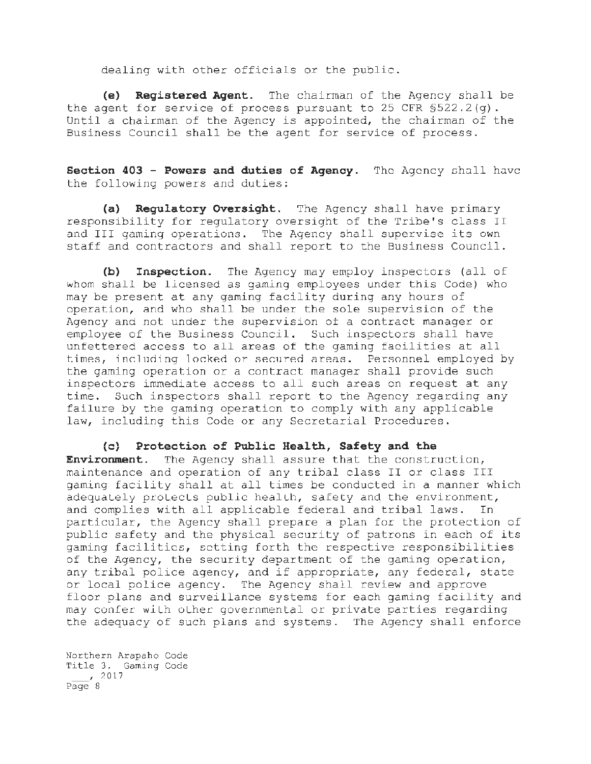dealing with other officials or the public.

**(e) Registered Agent.** The chairman of the Agency shall be the agent for service of process pursuant to 25 CFR §522.2(g). Until a chairman of the Agency *is* appointed, the chairman of the Business Council shall be the agent for service of process.

**Section 403 - Powers and duties of Agency.** The Agency shall have the following powers and duties:

**(a) Regulatory Oversight.** The Agency shall have primary responsibility for regulatory oversight of the Tribe's class II and III gaming operations. The Agency shall supervise its own staff and contractors and shall report to the Business Council.

**(b) Inspection.** The Agency may employ inspectors (all of whom shall be licensed as gaming employees under this Code) who may be present at any gaming facility during any hours of operation, and who shall be under the sole supervision of the Agency and not under the supervision *ot* a contract manager or employee of the Business Council. Such inspectors shall have unfettered access to all areas of the gaming facilities at all times, including locked or secured areas. Personnel employed by the gaming operation or a contract manager shall provide such inspectors immediate access to all such areas on request at any time. Such inspectors shall report to the Agency regarding any failure by the gaming operation to comply with any applicable law, including this Code or any Secretarial Procedures.

(c} **Protection of Public Health, Safety and the Environment.** The Agency shall assure that the construction, maintenance and operation of any tribal class II or class III gaming facility shall at all times be conducted in a manner which adequately protects public health, safety and the environment, and complies with all applicable federal and tribal laws. In particular, the Agency shall prepare a plan for the protection of public safety and the physical security of patrons in each of its gaming facilities, setting forth the respective responsibilities of the Agency, the security department of the gaming operation, any tribal police agency, and if appropriate, any federal, state or local police agency. The Agency shall review and approve floor plans and surveillance systems for each gaming facility and may confer wllh oLher governmental or private parties regarding the adequacy of such plans and systems. The Agency shall enforce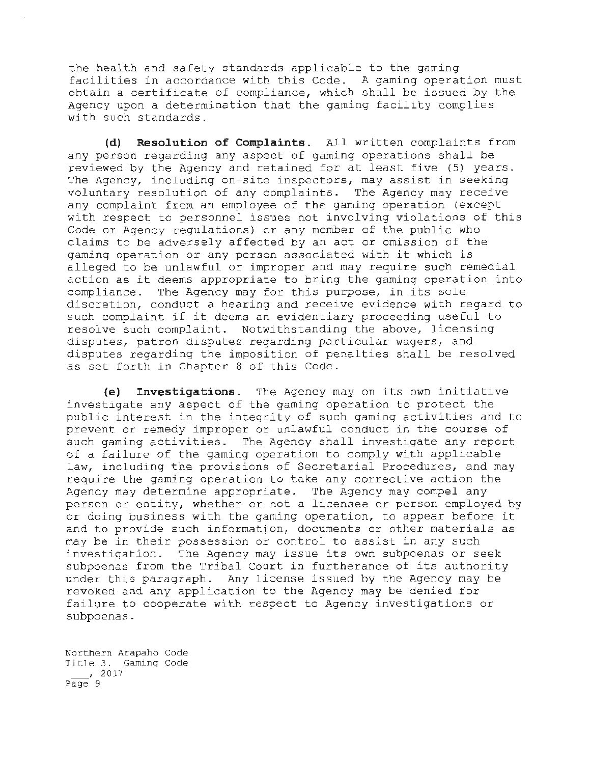the health and safety standards applicable to the gaming facilities in accordance with this Code . A gaming operation must obtain a certificate of compliance, which shall be issued by the Agency upon a determination that the gaming facility complies with such standards.

**(d) Resolution of Complaints.** All written complaints from any person regarding any aspect of gaming operations shall be reviewed by the Agency and retained for at least five (5) years. The Agency, including on-site inspectors, may assist in seeking voluntary resolution of any complaints. The Agency may receive any complaint from an employee of the gaming operation (except with respect to personnel issues not involving violations of this Code or Agency regulations) or any member of the public who claims to be adversely affected by an act or omission of the gaming operation or any person associated with it which is alleged to be unlawful or improper and may require such remedial action as it deems appropriate to bring the gaming operation into compliance. The Agency may for this purpose, in its sole discretion, conduct a hearing and receive evidence with regard to such complaint if it deems an evidentiary proceeding useful to resolve such complaint. Notwithstanding the above, licensing disputes, patron disputes regarding particular wagers, and disputes regarding the imposition of penalties shall be resolved as set forth in Chapter 8 of this Code.

(e) **Investigations.** The Agency may on its own initiative investigate any aspect of the gaming operation to protect the public interest in the integrity of such gaming activities and to prevent or remedy improper or unlawful conduct in the course of such gaming activities. The Agency shall investigate any report of a failure of the gaming operation to comply with applicable law, including the provisions of Secretarial Procedures, and may require the gaming operation to take any corrective action the Agency may determine appropriate. The Agency may compel any person or entity, whether or not a licensee or person employed by or doing business with the gaming operation, to appear before it and to provide such information, documents or other materials as may be in their possession or control to assist in any such investigation. The Agency may issue its own subpoenas or seek subpoenas from the Tribal Court in furtherance of its authority under this paragraph. Any license issued by the Agency may be revoked and any application to the Agency may be denied for failure to cooperate with respect to Agency investigations or subpoenas.

Northern Arapaho Code Title 3. Gaming Code  $\frac{1}{2017}$  $P \overline{a} \overline{a} e$  9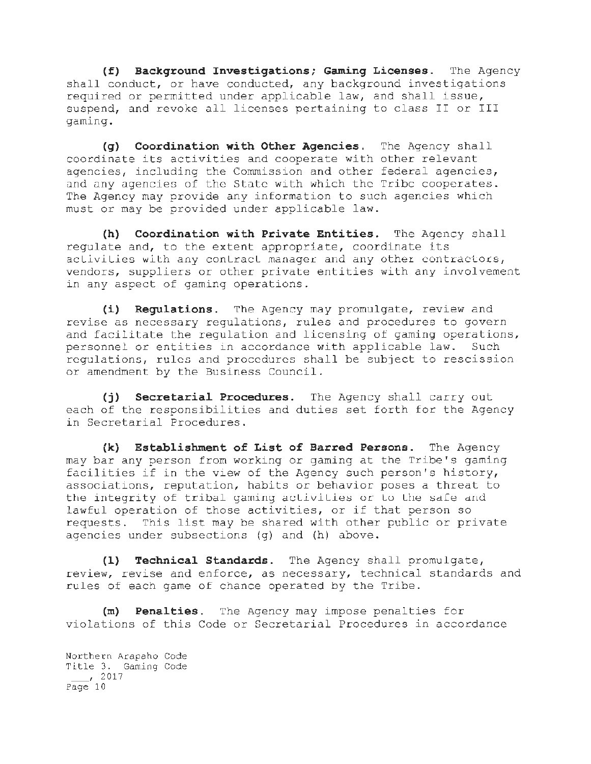**(f) Background Investigations; Gaming Licenses.** The Agency shall conduct, or have conducted, any background investigations required or permitted under applicable law, and shall issue, suspend, and revoke all licenses pertaining to class II or III gaming.

**(g) Coordination with Other Agencies.** The Agency shall coordinate its activities and cooperate with other relevant agencies, including the Commission and other federal agencies, and any agencies of the State with which the Tribe cooperates. The Agency may provide any information to such agencies which must or may be provided under applicable law.

**(h) Coordination with Private Entities.** The Agency shall regulate and, to the extent appropriate, coordinate its aclivities with any contract manager and any other contractors, vendors, suppliers or other private entities with any involvement in any aspect of gaming operations.

(i) **Regulations.** ~he Agency may promulgate, review and revise as necessary regulations, rules and procedures to govern and facilitate the regulation and licensing of gaming operations, personnel or entities in accordance with applicable law. Such regulations, rules and procedures shall be subject to rescission or amendment by the Business Council.

**(j) Secretarial Procedures.** The Agency shall carry out each of the responsibilities and duties set forth for the Agency in Secretarial Procedures.

**(k) Establishment of List of Barred Persons.** The Agency may bar any person from working or gaming at the Tribe's gaming facilities if in the view of the Agency such person's history, associations, reputation, habits or behavior poses a threat to the integrity of tribal gaming activities or to the safe and lawful operation of those activities, or if that person so requests. This list may be shared with other public or private agencies under subsections (g) and (h) above.

**(1) Technical Standards.** The Agency shall promulgate, review, revise and enforce, as necessary, technical standards and rules of each game of chance operated by the Tribe.

(m) **Penalties.** The Agency may impose penalties for violations of this Code or Secretarial Procedures in accordance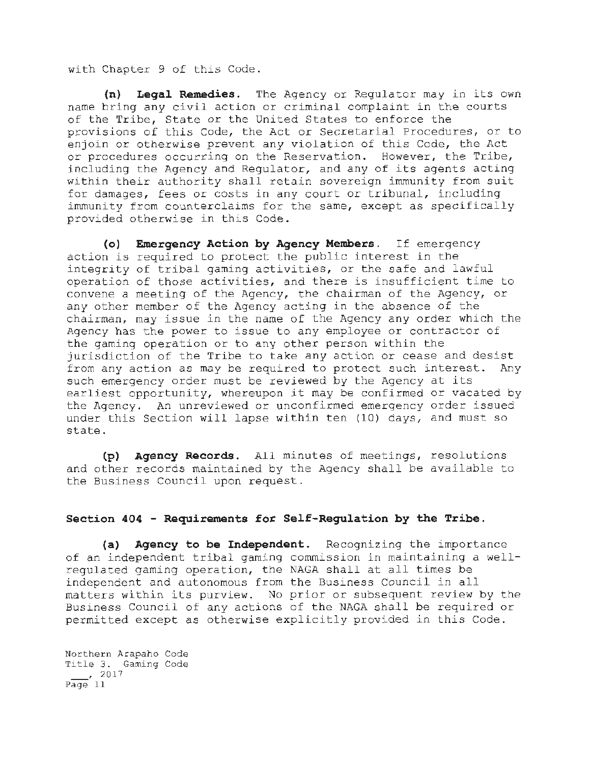with Chapter 9 of this Code.

**(n) Legal Remedies.** The Agency or Regulator may in its own name bring any civil action or criminal complaint in the courts of the Tribe, State or the United States to enforce the provisions of this Code, the Act or Secretarial Procedures, or to enjoin or otherwise prevent any violation of this Code, the Act or procedures occurring on the Reservation. However, the Tribe, including the Agency and Regulator, and any of its agents acting within their authority shall retain sovereign immunity from suit for damages, fees or costs in any court or tribunal, including immunity from counterclaims for the same, except as specifically provided otherwise in this Code.

(o) **Emergency Action by Agency Members.** If emergency action is required to protect the public interest in the integrity of tribal gaming activities, or the safe and lawful operation of those activities, and there is insufficient time to convene a meeting of the Agency, the chairman of the Agency, or any other member of the Agency acting in the absence of the chairman, may issue in the name of the Agency any order which the Agency has the power to issue to any employee or contractor of the gaming operation or to any other person within the jurisdiction of the Tribe to take any action or cease and desist from any action as may be required to protect such interest. Any such emergency order must be reviewed by the Agency at its earliest opportunity, whereupon it may be confirmed or vacated by the Agency. An unreviewed or unconfirmed emergency order issued under this Section will lapse within ten (10) days, and must so state .

**(p) Agency Records.** All minutes of meetings, resolutions and other records maintained by the Agency shall be available to the Business Council upon request.

## **Section 404 - Requirements for Self-Regulation by the Tribe.**

(a) Agency to be Independent. Recognizing the importance of an independent tribal gaming commission in maintaining a wellregulated gaming operation, the NAGA shall at all times be independent and autonomous from the Business Council in all matters within its purview. No prior or subsequent review by the Business Council of any actions of the NAGA shall be required or permitted except as otherwise explicitly provided in this Code.

Northern Arapaho Code Title 3. Gaming Code  $\frac{2017}{ }$  $P\overline{age}$  11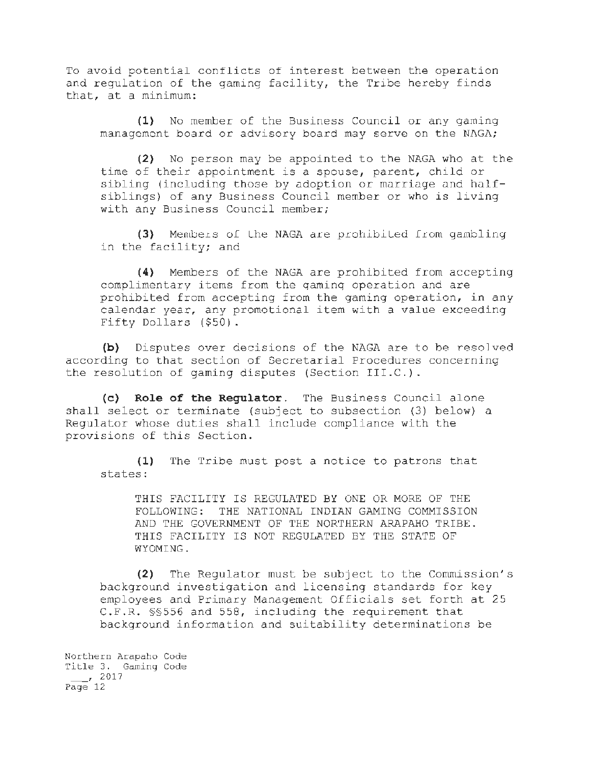To avoid potential conflicts of interest between the operation and regulation of the gaming facility, the Tribe hereby finds that, at a minimum:

**(1)** No member of the Business Council or any gaming management board or advisory board may serve on the NAGA;

(2) No person may be appointed to the NAGA who at the time of their appointment is a spouse, parent, child or sibling (including those by adoption or marriage and halfsiblings) of any Business Council member or who is living with any Business Council member;

(3) Members of the NAGA are prohibited from gambling in the facility; and

**(4)** Members of the NAGA are prohibited from accepting complimentary items from the qaminq operation and are prohibited from accepting from the gaming operation, in any calendar year, any promotional item with a value exceeding Fifty Dollars (\$50).

**(b)** Disputes over decisions of the NAGA are to be resolved according to that section of Secretarial Procedures concerning the resolution of gaming disputes (Section III.C.).

(c) **Role of the Regulator.** The Business Council alone shall select or terminate (subject to subsection (3) below) a Regulator whose duties shall include compliance with the provisions of this Section.

(1) The Tribe must post a notice to patrons that states:

THIS FACILITY IS REGULATED BY ONE OR MORE OF THE FOLLOWING: THE NATIONAL INDIAN GAMING COMMISSION AND THE GOVERNMENT OF THE NORTHERN ARAPAHO TRIBE. THIS FACILITY IS NOT REGULATED BY THE STATE OF WYOMING.

(2) The Regulator must be subject to the Commission's background investigation and licensing standards for key employees and Primary Management Officials set forth at 25 C.F.R. §§556 and 558, including the requirement that background information and suitability determinations be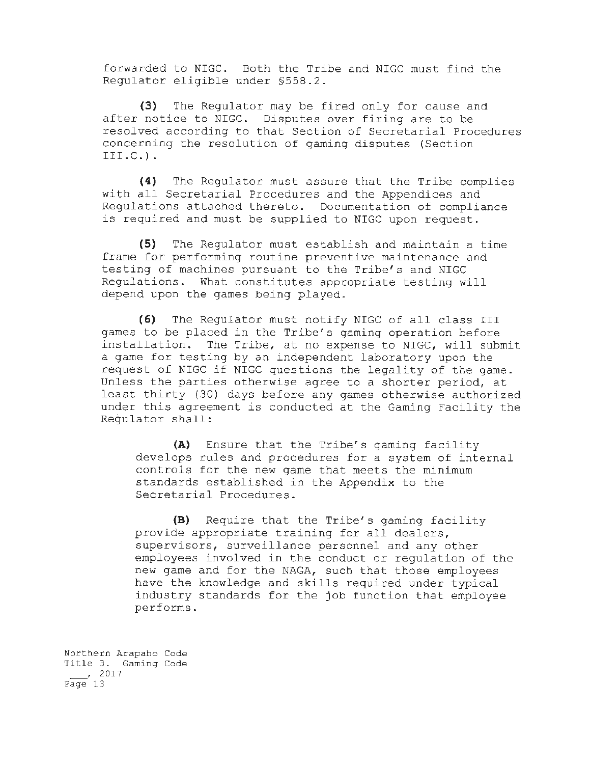forwarded to NIGC. Both the Tribe and NIGC must find the Regulator eligible under §558.2.

(3) The Regulator may be fired only for cause and after notice to NIGC. Disputes over firing are to be resolved according to that Section of Secretarial Procedures concerning the resolution of gaming disputes (Section III.C.).

(4) The Regulator must assure that the Tribe complies with all Secretarial Procedures and the Appendices and Regulations attached thereto. Documentation of compliance is required and must be supplied to NIGC upon request.

(5) The Regulator must establish and maintain a time frame for performing routine preventive maintenance and testing of machines pursuant to the Tribe's and NIGC Regulations. What constitutes appropriate testing will depend upon the games being played.

(6) The Regulator must notify NIGC of all class III games to be placed in the Tribe's gaming operation before installation. The Tribe, at no expense to NIGC, will submit a game for testing by an independent laboratory upon the request of NIGC if NIGC questions the legality of the game. Unless the parties otherwise agree to a shorter period, at least thirty (30) days before any games otherwise authorized under this agreement is conducted at the Gaming Facility the Regulator shall:

(A) Ensure that the Tribe's gaming facility develops rules and procedures for a system of internal controls for the new game that meets the minimum standards established in the Appendix to the Secretarial Procedures.

(B) Require that the Tribe's gaming facility provide appropriate training for all dealers, supervisors, surveillance personnel and any other employees involved in the conduct or regulation of the new game and for the NAGA, such that those employees have the knowledge and skills required under typical industry standards for the job function that employee performs.

Northern Arapaho Code Title 3. Gaming Code  $\frac{1}{2017}$ Page 13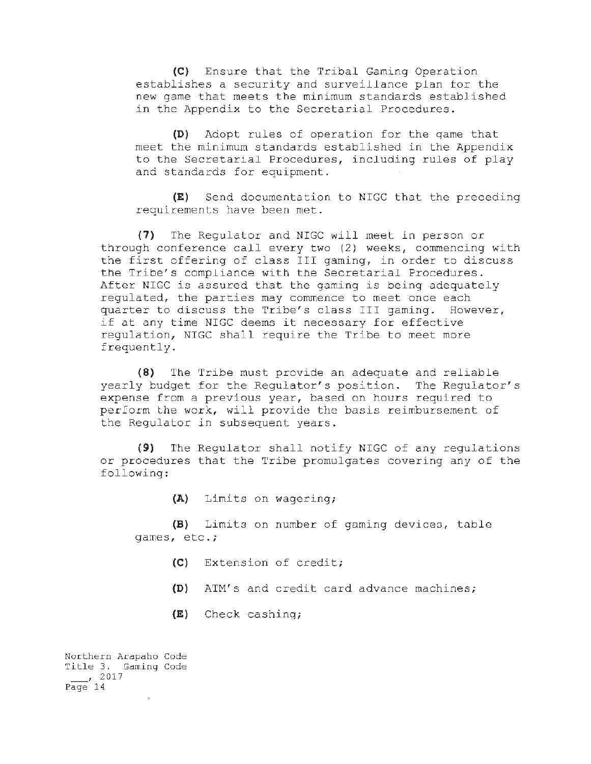(C) Ensure that the Tribal Gaming Operation establishes a security and surveillance plan tor the new game that meets the minimum standards established in the Appendix to the Secretarial Procedures.

**(D)** Adopt rules of operation for the qame that meet the minimum standards established in the Appendix to the Secretarial Procedures, including rules of play and standards for equipment.

**(E)** Send documentation to NIGC that the preceding requirements have been met.

**(7)** The Regulator and NIGC will meet in person or through conference call every two (2) weeks, commencing with the first offering of class III gaming, in order to discuss the Tribe's compliance with the Secretarial Procedures. After NIGC is assured that the gaming is being adequately regulated, the parties may commence to meet once each quarter to discuss the Tribe's class III gaming. However, if at any time NIGC deems it necessary for effective regulation, NIGC shall require the Tribe to meet more frequently.

**(8)** The Tribe must provide an adequate and reliable yearly budget for the Regulator's position. The Regulator's expense from a previous year, based on hours required to perform lhe work, will provide the basis reimbursement of the Regulator in subsequent years.

(9) The Regulator shall notify NIGC of any regulations or procedures that the Tribe promulgates covering any of the following:

**(A)** Limits on wagering;

(B) Limits on number of gaming devices, table games, etc.;

- (C) Extension of credit;
- **(D)** ATM's and credit card advance machines;
- **(E)** Check cashing;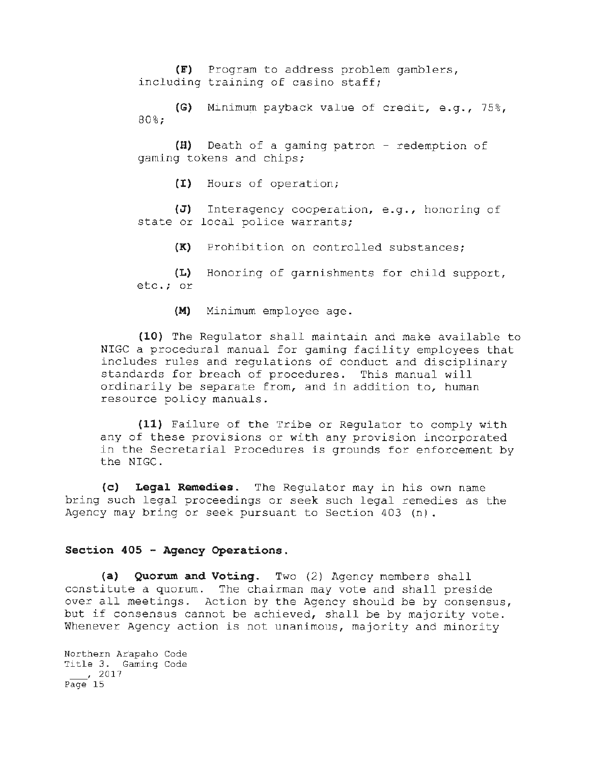**(F)** Program to address problem gamblers, including training of casino staff;

**(G)** Minimum payback value of credit, e.g., 75%, 80%;

**(H)** Death of a gaming patron - redemption of gaming tokens and chips;

(I) Hours of operation;

**(J)** Interagency cooperation, e.g., honoring of state or local police warrants;

**(K)** Prohibition on controlled substances;

**(L)** Honoring of garnishments for child support, etc.; or

**(M)** Minimum employee age.

**(10)** The Regulator shall maintain and make available to NIGC a procedural manual for gaming facility employees that includes rules and regulations of conduct and disciplinary standards for breach of procedures. This manual will ordinarily be separate from, and in addition to, human resource policy manuals.

**(11)** Failure of the Tribe or Regulator to comply with any of these provisions or with any provision incorporated in the Secretarial Procedures is grounds for enforcement by the NIGC.

**(c) Legal Remedies.** The Regulator may in his own name bring such legal proceedings or seek such legal remedies as the Agency may bring or seek pursuant to Section 403 (n) .

### **Section 405 - Agency Operations.**

**(a) Quorwn and Votinq.** Two (2) Agency members shall constitute a quorum. The chairman may vote and shall preside over all meetings. Action by the Agency should be by consensus, but if consensus cannot be achieved, shall be by majority vote. Whenever Agency action is not unanimous, majority and minority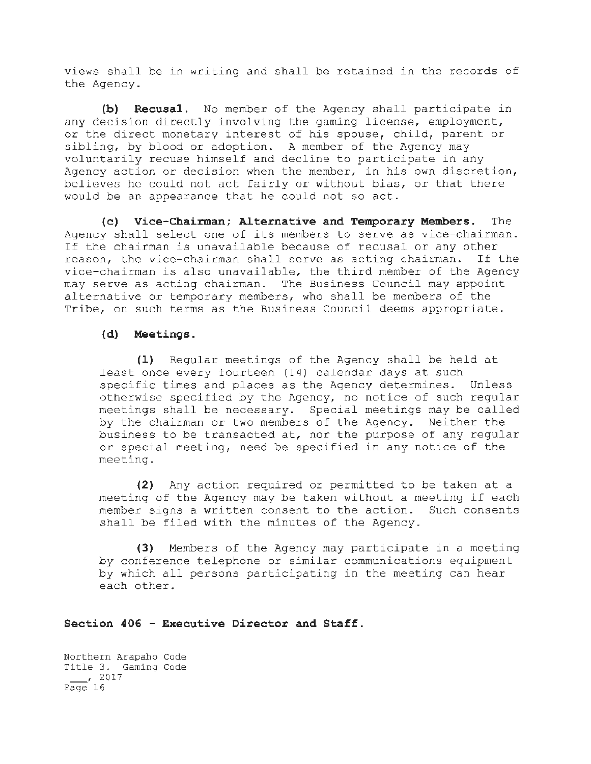views shall be in writing and shall be retained in the records of the Agency.

**(b) Recusal.** No member of the Agency shall participate in any decision directly involving the gaming license, employment, or the direct monetary interest of his spouse, child, parent or sibling, by blood or adoption. A member of the Agency may voluntarily recuse himself and decline to participate in any Agency action or decision when the member, in his own discretion, believes he could not act fairly or without bias, or that there would be an appearance that he could not so act.

(c) **Vice-Chairman; Alternative and Temporary Members.** The Agency shall select one of its members to serve as vice-chairman. If the chairman is unavailable because of recusal or any other reason, the vice-chairman shall serve as acting chairman. If the vice-chairman is also unavailable, the third member of the Agency may serve as acting chairman. The Business Council may appoint alternative or temporary members, who shall be members of the Tribe, on such terms as the Business Council deems appropriate.

## **(d) Meetings.**

(1) Regular meetings of the Agency shall be held at least once every fourteen (14) calendar days at such specific times and places as the Agency determines. Unless otherwise specified by the Agency, no notice of such regular meetings shall be necessary. Special meetings may be called by the chairman or two members of the Agency. Neither the business to be transacted at, nor the purpose of any regular or special meeting, need be specified in any notice of the meeting.

(2) Any action required or permitted to be taken at a meeting of the Agency may be taken without a meeting if each member signs a written consent to the action. Such consents shall be filed with the minutes of the Agency.

**(3)** Members of the Agency may participate in u meeting by conference telephone or similar communications equipment by which all persons participating in the meeting can hear each other.

## **Section 406 - Executive Director and Staff.**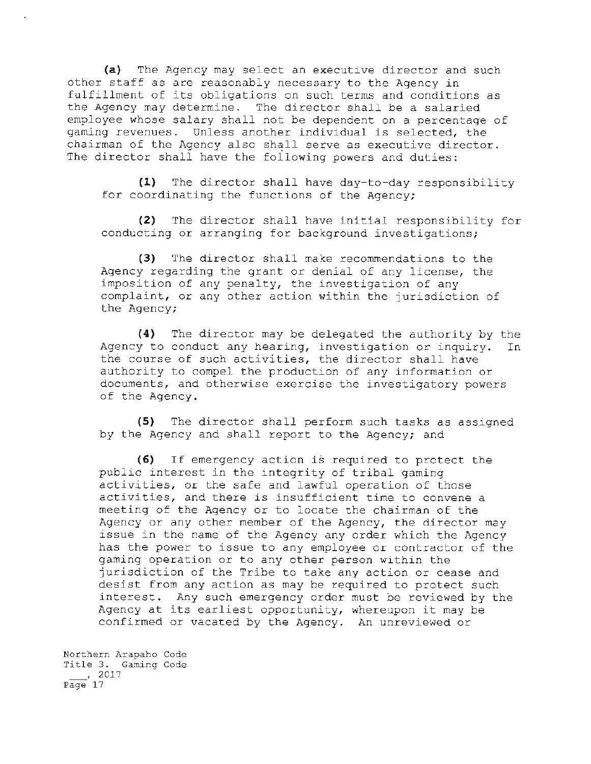(a) The Agency may select an executive director and such other staff as are reasonably necessary to the Agency in fulfillment of its obligations on such terms and conditions as the Agency may determine. The director shall be a salaried employee whose salary shall not be dependent on a percentage of gaming revenues. Unless another individual is selected, the chairman of the Agency also shall serve as executive director. The director shall have the following powers and duties:

(1) The director shall have day-to-day responsibility for coordinating the functions of the Agency;

(2) The director shall have initial responsibility for conducting or arranging for background investigations;

(3) The director shall make recommendations to the Agency regarding the grant or denial of any license, the imposition of any penalty, the investigation of any complaint, or any other action within the jurisdiction of the Agency;

(4) The director may be delegated the authority by the Agency to conduct any hearing, investigation or inquiry. In the course of such activities, the director shall have authority to compel the production of any information or documents, and otherwise exercise the investigatory powers of the Agency.

(5) The director shall perform such tasks as assigned by the Agency and shall report to the Agency; and

(6) If emergency action is required to protect the public interest in the integrity of tribal gaming activities, or the safe and lawful operation of those activities, and there is insufficient time to convene a meeting of the Agency or to locate the chairman of the Agency or any other member of the Agency, the director may issue in the name of the Agency any order which the Agency has the power to issue to any employee or contractor of the gaming operation or to any other person within the jurisdiction of the Tribe to take any action or cease and desist from any action as may be required to protect such interest. Any such emergency order must be reviewed by the Agency at its earliest opportunity, whereupon it may be confirmed or vacated by the Agency. An unreviewed or

Northern Arapaho Code Title 3. Gaming Code  $\frac{1}{2017}$  $P\overline{age}$  17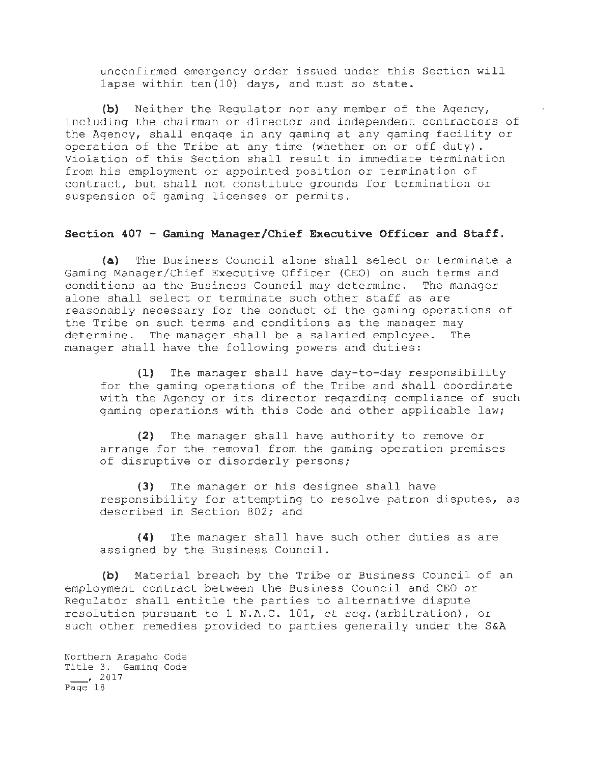unconfirmed emergency order issued under this Section will lapse within ten(10) days, and must so state.

**(b)** Neither the Regulator nor any member of the Aqency, including the chairman or director and independent contractors of the Aqency, shall enqaqe in any qaminq at any qaminq facility or operation of the Tribe at any time (whether on or off duty). Violation of this Section shall result in immediate termination from his employment or appointed position or termination of contract, but shall not constitute grounds for termination or suspension of gaming licenses or permits.

### **Section 407 - Gaming Manager/Chief Executive Officer and Staff.**

**(a)** The Business Council alone shall select or terminate a Gaming Manager/Chief Executive Officer (CEO) on such terms and conditions as the Business Council may determine. The manager alone shall select or terminate such other staff as are reasonably necessary for the conduct of the gaming operations of the Tribe on such terms and conditions as the manager may determine. The manager shall be a salaried employee. The manager shall have the following powers and duties:

**(1)** The manager shall have day-to-day responsibility for the gaming operations of the Tribe and shall coordinate with the Agency or its director reqardinq compliance of such gaming operations with this Code and other applicable law;

**(2)** The manager shall have authority to remove or arrange for the removal from the gaming operation premises of disruptive or disorderly persons;

**(3)** The manager or his designee shall have responsibility for attempting to resolve patron disputes, as described in Section 802; and

**(4)** The manager shall have such other duties as are assigned by the Business Council.

**(b)** Material breach by the Tribe or Business Council of an employment contract between the Business Council and CEO or Regulator shall entitle the parties to alternative dispute resolution pursuant to 1 N.A.C. 101, et *seq.* (arbitration), or such other remedies provided to parties generally under the S&A

Northern Arapaho Code Title 3. Gaming Code , 2017  $P\overline{age}$  18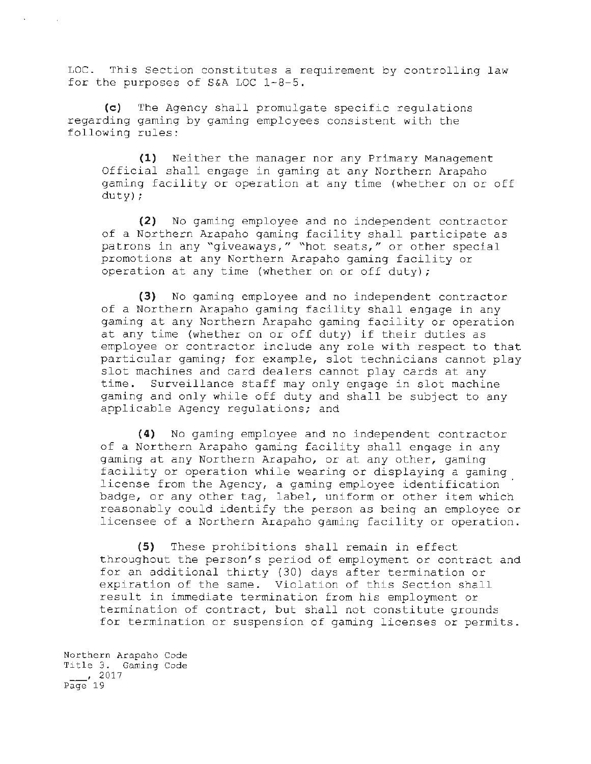LOC. This Section constitutes a requirement by controlling law for the purposes of S&A LOC 1-8-5.

(c) The Agency shall promulgate specific regulations regarding gaming by gaming employees consistent with the following rules:

(1) Neither the manager nor any Primary Management Official shall engage in gaming at any Northern Arapaho gaming facility or operation at any time (whether on or off duty);

(2) No gaming employee and no independent contractor of a Northern Arapaho gaming facility shall participate as patrons in any "giveaways," "hot seats," or other special promotions at any Northern Arapaho gaming facility or operation at any time (whether on or off duty);

(3) No gaming employee and no independent contractor of a Northern Arapaho gaming facility shall engage in any gaming at any Northern Arapaho gaming facility or operation at any time (whether on or off duty) if their duties as employee or contractor include any role with respect to that particular gaming; for example, slot technicians cannot play slot machines and card dealers cannot play cards at any<br>time. Surveillance staff may only engage in slot machin Surveillance staff may only engage in slot machine gaming and only while off duty and shall be subject to any applicable Agency regulations; and

(4) No gaming employee and no independent contractor of a Northern Arapaho gaming facility shall engage in any gaming at any Northern Arapaho, or at any other, gaming facility or operation while wearing or displaying a gaming license from the Agency, a gaming employee identification badge, or any other tag, label, uniform or other item which reasonably could identify the person as being an employee or licensee of a Northern Arapaho gaming facility or operation.

(5) These prohibitions shall remain in effect throughout the person's period of employment or contract and for an additional thirty (30) days after termination or expiration of the same. Violation of this Section shall result in immediate termination from his employment or termination of contract, but shall not constitute grounds for termination or suspension of gaming licenses or permits.

Northern Arapaho Code Title 3. Gaming Code  $\frac{1}{2017}$ Page 19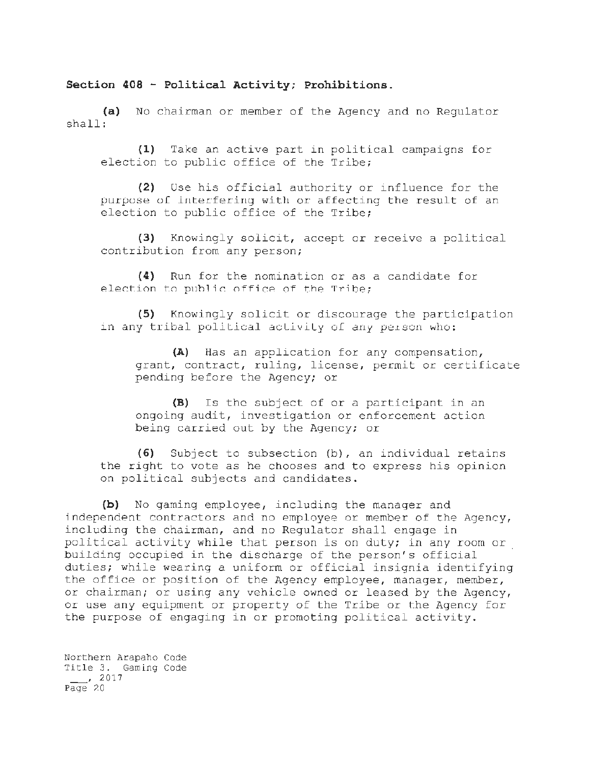## **Section 408 - Political Activity; Prohibitions.**

**(a)** No chairman or member of the Agency and no Regulator shall:

**(1)** Take an active part in political campaigns for election to public office of the Tribe;

(2) Use his official authority or influence for the purpose of interfering with or affecting the result of an election to public office of the Tribe;

(3) Knowingly solicit, accept or receive a political contribution from any person;

**(4)** Run for the nomination or as a candidate for election to public office of the Tribe;

**(5)** Knowingly solicit or discourage the participation in any tribal political activity of any person who:

**(A)** Has an application for any compensation, grant, contract, ruling, license, permit or certificate pending before the Agency; or

**(B)** Is the subject of or a participant in an ongoing audit, investigation or enforcement action being carried out by the Agency; or

**(6)** Subject to subsection (b), an individual retains the right to vote as he chooses and to express his opinion on political subjects and candidates.

**(b)** No gaming employee, including the manager and independent contractors and no employee or member of the Agency, including the chairman, and no Regulator shall engage in political activity while that person *is* on duty; in any room or building occupied in the discharge of the person's official duties; while wearing a uniform or official insignia identifying the office or position of the Agency employee, manager, member, or chairman; or using any vehicle owned or leased by the Agency, or use any equipment or property of the Tribe or the Agency for the purpose of engaging in or promoting political activity.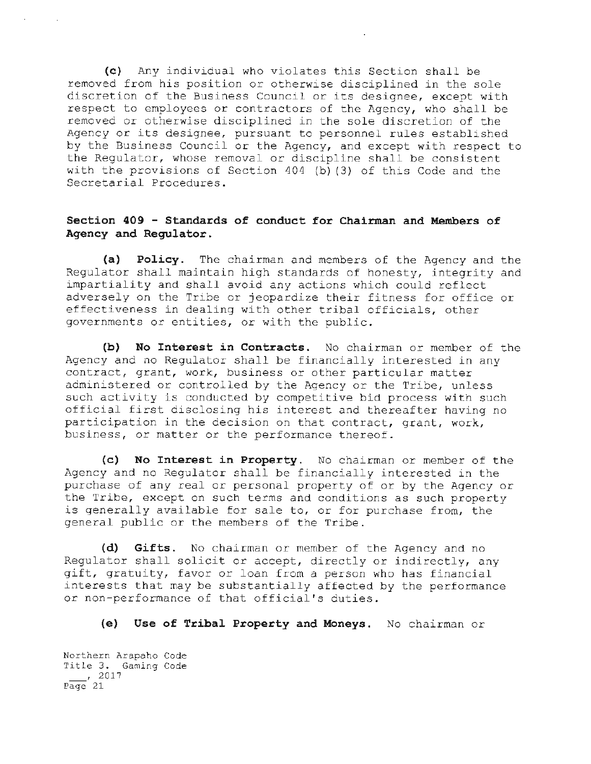(c) Any individual who violates this Section shall be removed from his position or otherwise disciplined in the sole discretion of the Business Council or its designee, except with respect to employees or contractors of the Agency, who shall be removed or otherwise disciplined in the sole discretion of the Agency or its designee, pursuant to personnel rules established by the Business Council or the Agency, and except with respect to the Regulator, whose removal or discipline shall be consistent with the provisions of Section 404 (b) (3) of this Code and the Secretarial Procedures.

## **Section 409 - Standards of conduct for Chairman and Members of Agency and Regulator.**

**(a) Policy.** The chairman and members of the Agency and the Regulator shall maintain high standards of honesty, integrity and impartiality and shall avoid any actions which could reflect adversely on the Tribe or jeopardize their fitness for office or effectiveness in dealing with other tribal officials, other governments or entities, or with the public.

**(b) No Interest in Contracts.** No chairman or member of the Agency and no Regulator shall be financially interested in any contract, grant, work, business or other particular matter administered or controlled by the Agency or the Tribe, unless such activity is conducted by competitive bid process with such official first disclosing his interest and thereafter having no participation in the decision on that contract, grant, work, business, or matter or the performance thereof.

**(c) No Interest in Property.** No chairman or member of the Agency and no Regulator shall be financially interested in the purchase of any real or personal property of or by the Agency or the Tribe, except on such terms and conditions as such property is generally available for sale to, or for purchase from, the general public or the members of the Tribe.

**(d) Gifts.** No chairman or member of the Agency and no Regulator shall solicit or accept, directly or indirectly, any gift, gratuity, favor or loan from a person who has financial interests that may be substantially affected by the performance or non-performance of that official's duties.

**(e) Use of Tribal Property and Moneys.** No chairman or

Northern Arapaho Code Title 3. Gaming Code  $\frac{1}{2017}$ Page 21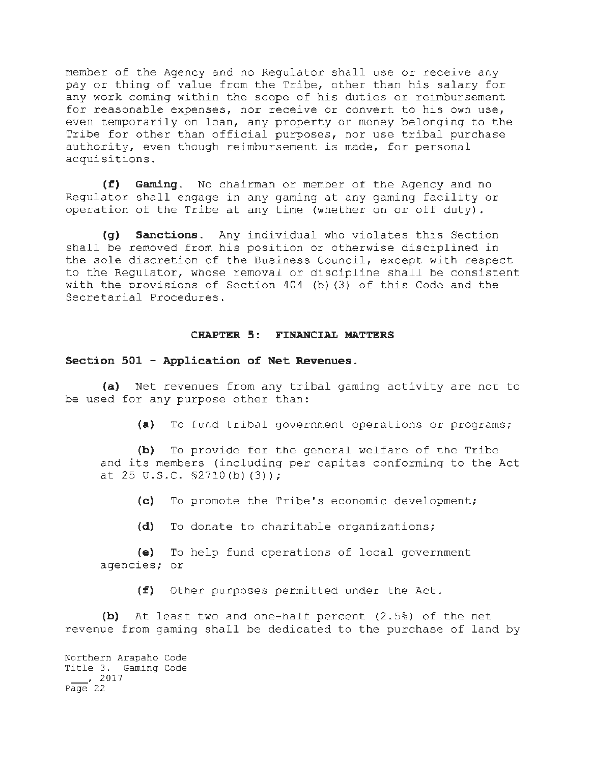member of the Agency and no Regulator shall use or receive any pay or thing of value from the Tribe, other than his salary for any work coming within the scope of his duties or reimbursement for reasonable expenses, nor receive or convert to his own use, even temporarily on loan, any property or money belonging to the Tribe for other than official purposes, nor use tribal purchase authority, even though reimbursement is made, for personal acquisitions.

**(f) Gaming.** No chairman or member of the Agency and no Regulator shall engage in any gaming at any gaming facility or operation of the Tribe at any time (whether on or off duty).

**(q) Sanctions.** Any individual who violates this Section shall be removed from his position or otherwise disciplined in the sole discretion of the Business Council, except with respect to the Regulator, whose removal or discipline shall be consistent with the provisions of Section 404 (b) (3) of this Code and the Secretarial Procedures.

#### **CHAPTER 5: FINANCIAL MATTERS**

### **Section 501 - Application of Net Revenues.**

(a) Net revenues from any tribal gaming activity are not to be used for any purpose other than:

**(a)** To fund tribal government operations or programs;

**(b)** To provide for the general welfare of the Tribe and its members (including per capitas conforming to the Act at 25 u.s.c. §2710 (b) (3));

(c) To promote the Tribe's economic development;

**(d)** To donate to charitable organizations;

**(e)** To help fund operations of local government agencies; or

**(f)** Other purposes permitted under the Act.

**(b)** At least two and one-half percent (2.5%) of the net revenue from gaming shall be dedicated to the purchase of land by

Northern Arapaho Code Title 3. Gaming Code ' 2017  $P\overline{age}$  22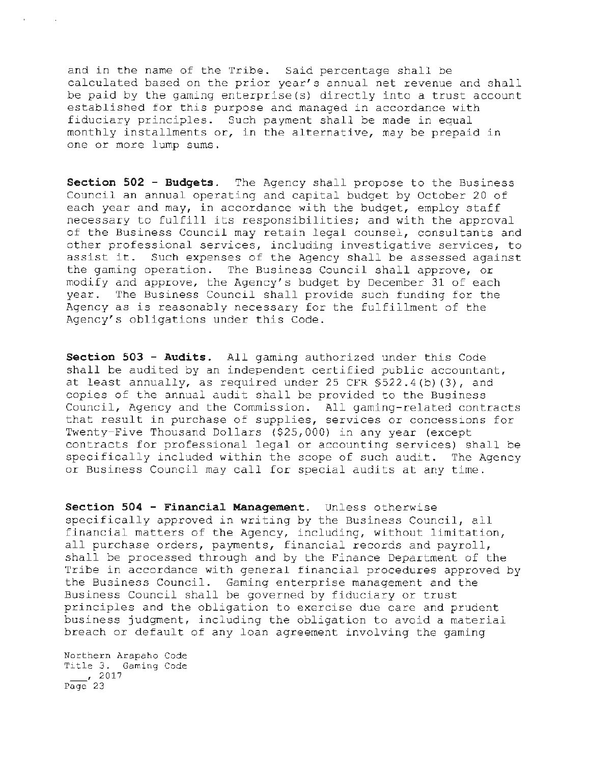and in the name of the Tribe. Said percentage shall be calculated based on the prior year's annual net revenue and shall be paid by the gaming enterprise(s) directly into a trust account established for this purpose and managed in accordance with fiduciary principles. Such payment shall be made in equal monthly installments or, in the alternative, may be prepaid in one or more lump sums.

**Section 502 - Budgets.** The Agency shall propose to the Business Council an annual operating and capital budget by October 20 of each year and may, in accordance with the budget, employ staff necessary to fulfill its responsibilities; and with the approval of the Business Council may retain legal counsel, consultants and other professional services, including investigative services, to assist it. Such expenses of the Agency shall be assessed against<br>the gaming operation. The Business Council shall approve, or The Business Council shall approve, or modify and approve, the Agency's budget by December 31 of each year. The Business Council shall provide such funding for the Agency as is reasonably necessary for the fulfillment of the Agency's obligations under this Code.

**Section 503 - Audits.** All gaming authorized under this Code shall be audited by an independent certified public accountant, at least annually, as required under 25 CFR §522.4(b) (3), and copies of the annual audit shall be provided to the Business Council, Agency and the Commission. All gaming-related contracts that result in purchase of supplies, services or concessions for Twenty-Five Thousand Dollars (\$25,000) in any year (except contracts for professional legal or accounting services) shall be specifically included within the scope of such audit. The Agency or Business Council may call for special audits at any time.

**Section 504 - Financial Management.** Unless otherwise specifically approved in writing by the Business Council, all financial matters of the Agency, including, without limitation, all purchase orders, payments, financial records and payroll, shall be processed through and by the Finance Department of the Tribe in accordance with general financial procedures approved by the Business Council. Gaming enterprise management and the Business Council shall be governed by fiduciary or trust principles and the obligation to exercise due care and prudent business judgment, including the obligation to avoid a material breach or default of any loan agreement involving the gaming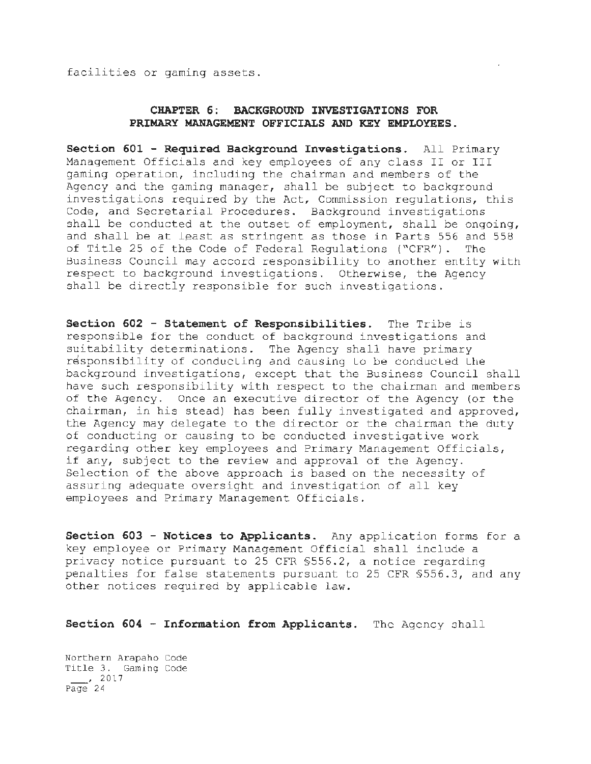facilities or gaming assets.

## **CHAPTER 6: BACKGROUND INVESTIGATIONS FOR PRIMARY MANAGEMENT OFFICIALS AND KEY EMPLOYEES.**

**Section 601 - Required Background Investigations.** All Primary Management Officials and key employees of any class II or III gaming operation, including the chairman and members of the Agency and the gaming manager, shall be subject to background investigations required by the Act, Commission regulations, this Code, and Secretarial Procedures. Background investigations shall be conducted at the outset of employment, shall be ongoing, and shall be at least as stringent as those in Parts 556 and 558 of Title 25 of the Code of Federal Regulations ("CFR"). The Business Council may accord responsibility to another entity with respect to background investigations. Otherwise, the Agency shall be directly responsible for such investigations.

**Section 602 - Statement of Responsibilities.** The Tribe is responsible for the conduct of background investigations and suitability determinations. The Agency shall have primary responsibility of conducting and causing to be conducted the background investigations, except that the Business Council shall have such responsibility with respect to the chairman and members of the Agency. Once an executive director of the Agency (or the chairman, in his stead) has been fully investigated and approved, the Agency may delegate to the director or the chairman the duty of conducting or causing to be conducted investigative work regarding other key employees and Primary Management Officials, if any, subject to the review and approval of the Agency. Selection of the above approach is based on the necessity of assuring adequate oversight and investigation of all key employees and Primary Management Officials.

**Section 603 - Notices to Applicants.** Any application forms for a key employee or Primary Management Official shall include a privacy notice pursuant to 25 CFR §556.2, a notice regarding penalties for false statements pursuant to 25 CFR §556.3, and any other notices required by applicable law.

**Section 604 - Information from Applicants.** The Agency shall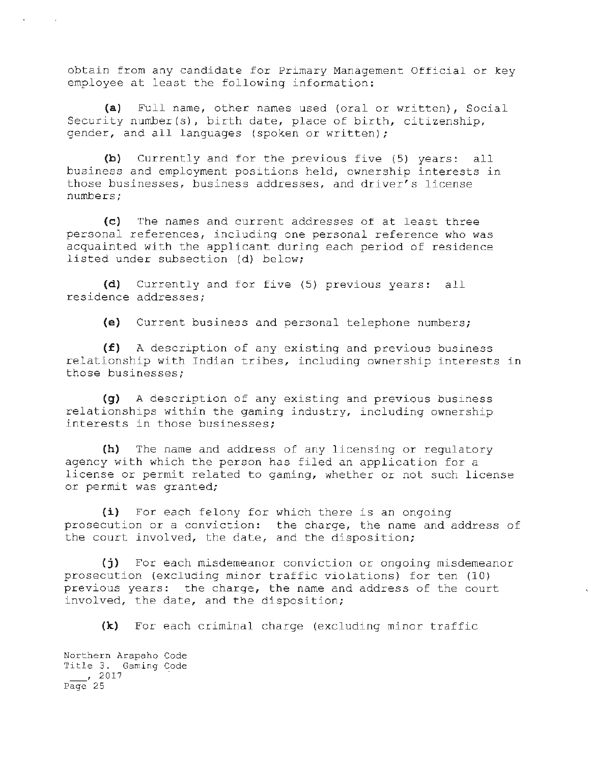obtain from any candidate for Primary Management Official or key employee at least the following information:

(a) Full name, other names used (oral or written), Social Security number(s), birth date, place of birth, citizenship, gender, and all languages (spoken or written);

(b) Currently and for the previous five (5) years: all business and employment positions held, ownership interests in those businesses, business addresses, and driver's license numbers;

(c) The names and current addresses of at least three personal references, including one personal reference who was acquainted with the applicant during each period of residence listed under subsection (d) below;

(d) Currently and for five (5) previous years: all residence addresses;

(e) Current business and personal telephone numbers;

(£) A description of any existing and previous business relationship with Indian tribes, including ownership interests in those businesses;

(g) A description of any existing and previous business relationships within the gaming industry, including ownership interests in those businesses;

(h) The name and address of any licensing or regulatory agency with which the person has filed an application for a license or permit related to gaming, whether or not such license or permit was granted;

(i) For each felony for which there is an ongoing prosecution or a conviction: the charge, the name and address of the court involved, the date, and the disposition;

(j) For each misdemeanor conviction or ongoing misdemeanor prosecution (excluding minor traffic violations) for ten (10} previous years: the charge, the name and address of the court involved, the date, and the disposition;

(k) For each criminal charge (excluding minor traffic

Northern Arapaho Code Title 3. Gaming Code , 2017 Page 25

 $\sim$   $\sim$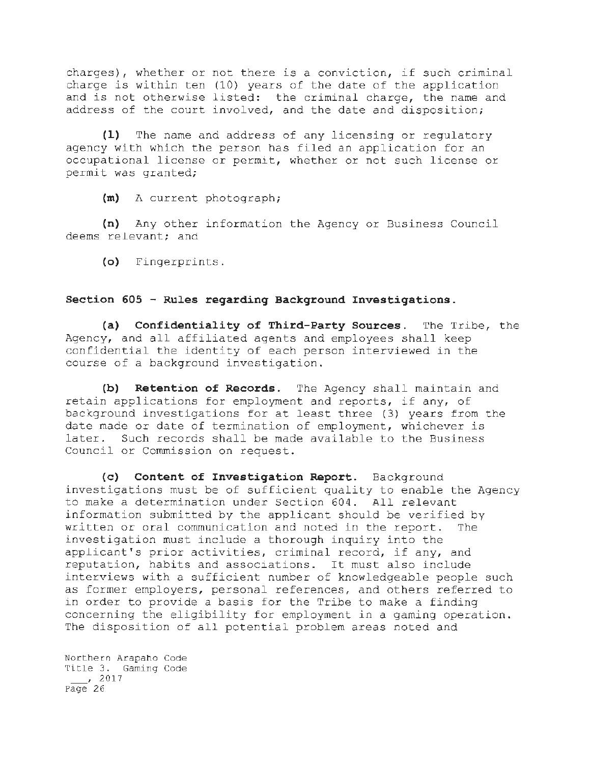charges), whether or not there is a conviction, if such criminal charge is within ten (10) years of the date of the application and is not otherwise listed: the criminal charge, the name and address of the court involved, and the date and disposition;

**(1)** The name and address of any licensing or regulatory agency with which the person has filed an application for an occupational license or permit, whether or not such license or permit was granted;

**(m)** ~ current photograph;

**(n)** Any other information the Agency or Business Council deems relevant; and

**(o)** fingerprints.

### **Section 605 - Rules regarding Background Investigations.**

**(a) Confidentiality of Third-Party Sources.** The Tribe, the Agency, and all affiliated agents and employees shall keep confidential the identity of each person interviewed in the course of a background investigation.

**(b) Retention of Records.** The Agency shall maintain and retain applications for employment and reports, if any, of background investigations for at least three (3) years from the date made or date of termination of employment, whichever is later. Such records shall be made available to the Business Council or Commission on request.

(c) **Content of Investigation Report.** Background investigations must be of sufficient quality to enable the Agency to make a determination under Section 604. All relevant information submitted by the applicant should be verified by written or oral communication and noted in the report. The investigation must include a thorough inquiry into the applicant's prior activities, criminal record, if any, and reputation, habits and associations. It must also include interviews with a sufficient number of knowledgeable people such as former employers, personal references, and others referred to in order to provide a basis for the Tribe to make a finding concerning the eligibility for employment in a gaming operation. The disposition of all potential problem areas noted and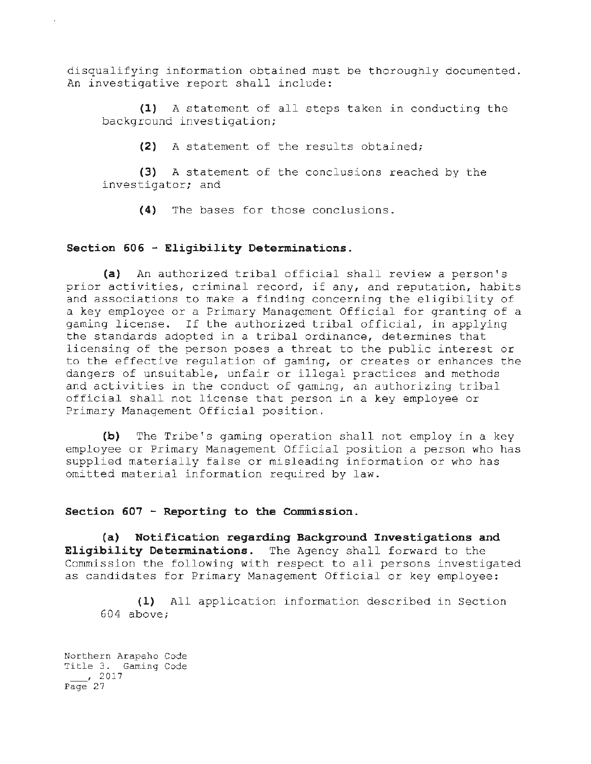disqualifying information obtained must be thoroughly documented. An investigative report shall include:

**(1)** A statement of all steps taken in conducting the background investigation;

**(2)** A statement of the results obtained;

(3) A statement of the conclusions reached by the investigator; and

**(4)** The bases for those conclusions.

### **Section 606 - Eligibility Determinations.**

**(a)** An authorized tribal official shall review a person's prior activities, criminal record, if any, and reputation, habits and associations to make a finding concerning the eligibility of a key employee or a Primary Management Official for granting of a gaming license. If the authorized tribal official, in applying the standards adopted in a tribal ordinance, determines that licensing of the person poses a threat to the public interest or to the effective regulation of gaming, or creates or enhances the dangers of unsuitable, unfair or illegal practices and methods and activities in the conduct of gaming, an authorizing tribal official shall not license that person in a key employee or Primary Management Official position.

**(b)** The Tribe's gaming operation shall not employ in a key employee or Primary Management Official position a person who has supplied materially false or misleading information or who has omitted material information required by law.

## **Section 607 - Reporting to the Commission.**

**(a) Notification regarding Background Investigations and Eligibility Determinations.** The Agency shall forward to the Commission the following with respect to all persons investigated as candidates for Primary Management Official or key employee:

**(1)** All application information described in Section 604 above;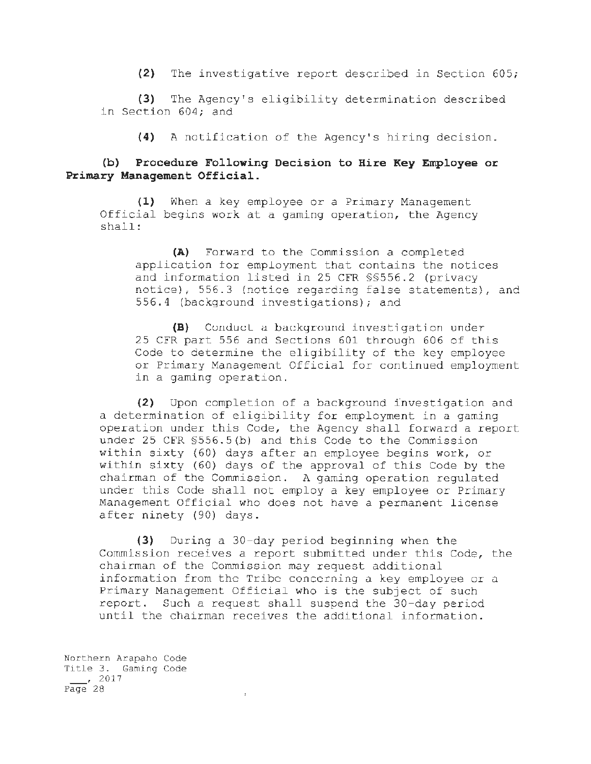**(2)** The investigative report described in Section 605;

**(3)** The Agency's eligibility determination described in Section 604; and

**(4)** A notification of the Agency's hiring decision.

## **(b) Procedure Following Decision to Hire Key Employee or Primary Management Official.**

**(1)** When a key employee or a Primary Management Official begins work at a gaming operation, the Agency shall:

**(A)** Forward to the Commission a completed application tor employment that contains the notices and information listed in 25 CFR §§556.2 (privacy notice); 556.3 (notice regarding false statements), and 556.4 (background investigations); and

(B) Conduct a background investigation under 25 CFR part 556 and Sections 601 through 606 of this Code to determine the eligibility of the key employee or Primary Management Official for continued employment in a gaming operation.

**(2)** Upon completion of a background investigation and a determination of eligibility for employment in a gaming operation under this Code, the Agency shall forward a report under 25 CFR §556.5(b) and this Code to the Commission within sixty {60) days after an employee begins work, or within sixty (60} days of the approval of this Code by the chairman of the Commission. A gaming operation regulated under this Code shall not employ a key employee or Primary Management Official who does not have a permanent license after ninety (90) days.

**(3)** During a 30-day period beginning when the Commission receives a report submitted under this Code, the chairman of the Commission may request additional information from the Tribe concerning a key employee or a Primary Management Official who is the subject of such report. Such a request shall suspend the 30-day period until the chairman receives the additional information.

 $\ddot{\phantom{0}}$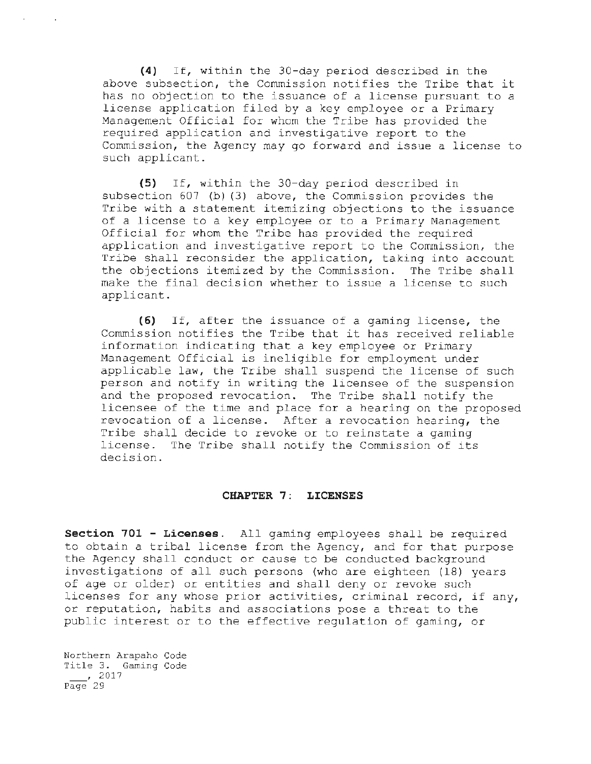**(4)** If, within the 30-day period described in the above subsection, the Commission notifies the Tribe that it has no objection to the issuance of a license pursuant to a license application filed by a key employee or a Primary Management Official for whom the Tribe has provided the required application and investigative report to the Commission, the Agency may go forward and issue a license to such applicant.

**(5)** If, within the 30-day period described in subsection 607 (b) (3) above, the Commission provides the Tribe with a statement itemizing objections to the issuance of a license to a key employee or to a Primary Management Official for whom the Tribe has provided the required application and investigative report to the Commission, the Tribe shall reconsider the application, taking into account the objections itemized by the Commission. The Tribe shall make the final decision whether to issue a license to such applicant.

**(6)** If, after the issuance of a gaming license, the Commission notifies the Tribe that it has received reliable information indicating that a key employee or Primary Management Official is ineligible for employment under applicable law, the Tribe shall suspend the license of such person and notify in writing the licensee of the suspension and the proposed revocation. The Tribe shall notify the licensee of the time and place for a hearing on the proposed revocation of a license. After a revocation hearing, the Tribe shall decide to revoke or to reinstate a gaming license. The Tribe shall notify the Commission of its decision.

#### **CHAPTER 7: LICENSES**

**Section 701 - Licenses.** All gaming employees shall be required to obtain a tribal license from the Agency, and for that purpose the Agency shall conduct or cause to be conducted background investigations of all such persons (who are eighteen (18) years of age or older) or entities and shall deny or revoke such licenses for any whose prior activities, criminal record, if any, or reputation, habits and associations pose a threat to the public interest or to the effective regulation of gaming, or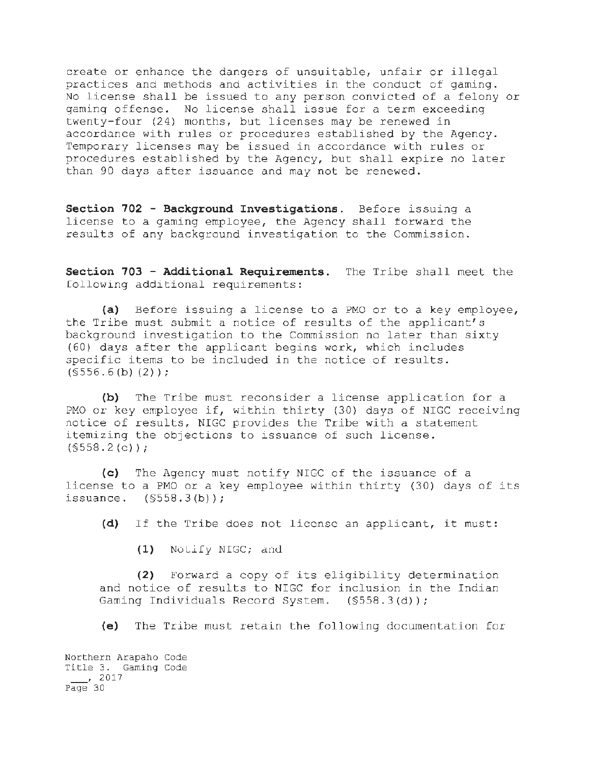create or enhance the dangers of unsuitable, unfair or illegal practices and methods and activities in the conduct of gaming. No license shall be issued to any person convicted of a felony or gaming offense. No license shall issue for a term exceeding twenty-four (24) months, but licenses may be renewed in accordance with rules or procedures established by the Agency. Temporary licenses may be issued in accordance with rules or procedures established by the Agency, but shall expire no later than 90 days after issuance and may not be renewed.

**Section 702 - Backqround Investigations.** Before issuing a license to a gaming employee, the Agency shall forward the results of any background investigation to the Commission.

**Section 703 - Additional Requirements.** The Tribe shall meet the following additional requirements:

**(a)** Before issuing a license to a PMO or to a key employee, the Tribe must submit a notice of results of the applicant's background investigation to the Commission no later than sixty (60) days after the applicant begins work, which includes specific items to be included in the notice of results.  $(S556.6(b) (2))$ ;

**(b)** The Tribe must reconsider a license application for a PMO or key employee if, within thirty (30) days of NIGC receiving notice of results, NIGC provides the Tribe with a statement itemizing the objections to issuance of such license.  $(S558.2(c))$ ;

**(c)** The Agency must notify NIGC of the issuance of <sup>a</sup> license to a PMO or a key employee within thirty (30) days of its issuance.  $(S558.3(b))$ ;

**(d)** If the Tribe does not license an applicant, it must:

**(1)** Nollfy NIGC; dnd

**(2)** Forward a copy of its eligibility determination and notice of results to NIGC for inclusion in the Indian Gaming Individuals Record System.  $(S558.3(d))$ ; Gaming Individuals Record System.

**(e)** The Tribe must retain the following documentation for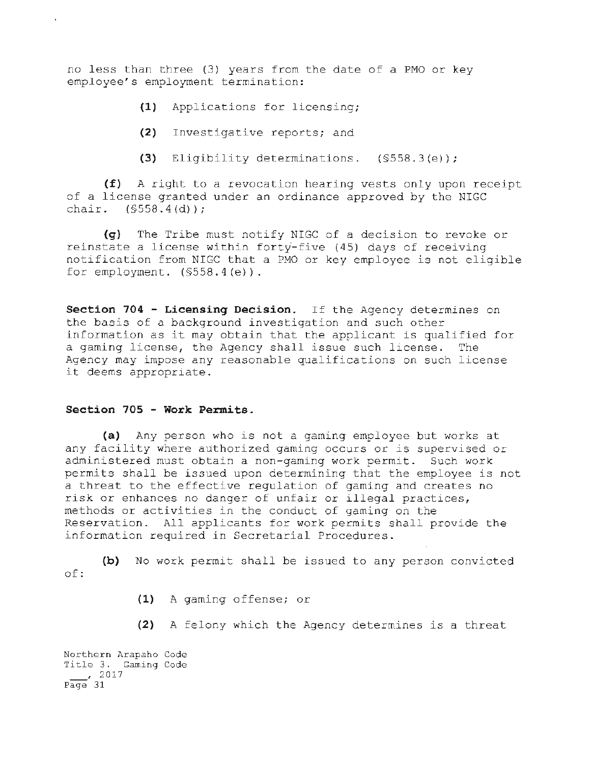no less than three (3) years from the date of a PMO or key employee's employment termination:

- **(1)** Applications for licensing;
- **(2)** Investigative reports; and
- (3) Eligibility determinations. (§558.3(e));

**(f)** A right to a revocation hearing vests only upon receipt of a license granted under an ordinance approved by the NIGC chair.  $(S558.4(d))$ :

**(q)** The Tribe must notify NIGC of a decision to revoke or reinstate a license within forty-five (45) days of receiving notification from NIGC that a PMO or key employee is not eligible for employment.  $(S558.4(e))$ .

**Section 704 - Licensing Decision.** If the Agency determines on the basis of a background investigation and such other information as it may obtain that the applicant is qualified for a gaming license, the Agency shall issue such license. The Agency may impose any reasonable qualifications on such license it deems appropriate.

### **Section 705 - Work Permits.**

à.

(a) Any person who is not a gaming employee but works at any facility where authorized gaming occurs or is supervised or administered must obtain a non-gaming work permit. Such work permits shall be issued upon determining that the employee is not a threat to the effective regulation of gaming and creates no risk or enhances no danger of unfair or illegal practices, methods or activities in the conduct of gaming on the Reservation. All applicants for work permits shall provide the information required in Secretarial Procedures.

**(b)** No work permit shall be issued to any person convicted of:

**(1)** A gaming offense; or

**(2)** A felony which the Agency determines is a threat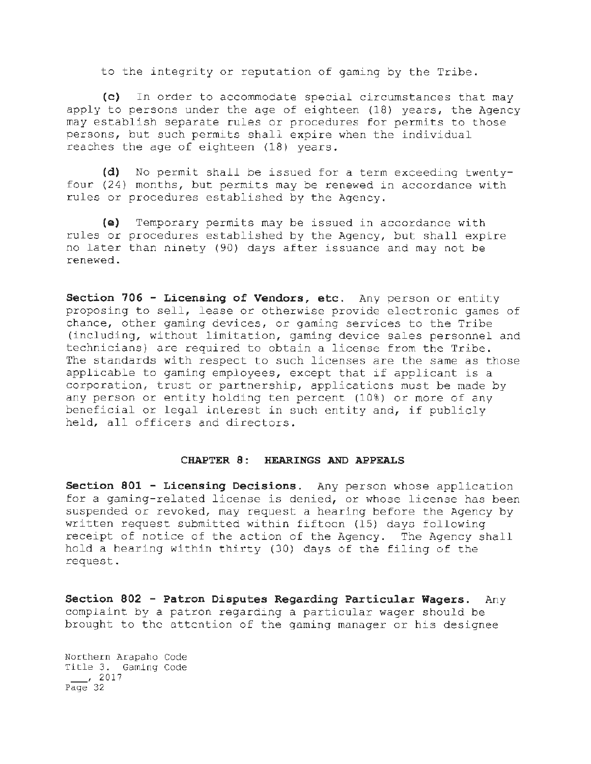to the integrity or reputation of gaming by the Tribe.

(c) In order to accommodate special circumstances that may apply to persons under the age of eighteen (18) years, the Agency may establish separate rules or procedures for permits to those persons, but such permits shall expire when the individual reaches the age of eighteen (18) years.

**(d)** No permit shall be issued for a term exceeding twentyfour (24) months, but permits may be renewed in accordance with rules or procedures established by the Agency.

**(e)** Temporary permits may be issued in accordance with rules or procedures established by the Agency, but shall expire no later than ninety (90) days after issuance and may not be renewed.

**Section 706 - Licensing of Vendors, etc.** Any person or entity proposing to sell, lease or otherwise provide electronic games of chance, other gaming devices, or gaming services to the Tribe (including, without limitation, gaming device sales personnel and technicians) are required to obtain a license from the Tribe. The standards with respect to such licenses are the same as those applicable to gaming employees, except that if applicant is a corporation, trust or partnership, applications must be made by any person or entity holding ten percent (10%) or more of any beneficial or legal interest in such entity and, if publicly held, all officers and directors.

#### **CHAPTER 8: HEARINGS AND APPEALS**

**Section 801 - Licensing Decisions.** Any person whose application for a gaming-related license is denied, or whose license has been suspended or revoked, may request a hearing before the Agency by written request submitted within fifteen (15) days following receipt of notice of the action of the Agency. The Agency shall hold a hearing within thirty (30) days of the filing of the request.

**Section 802 - Patron Disputes Regarding Particular Wagers.** Any complaint by a patron regarding a particular wager should be brought to the attention of the gaming manager or his designee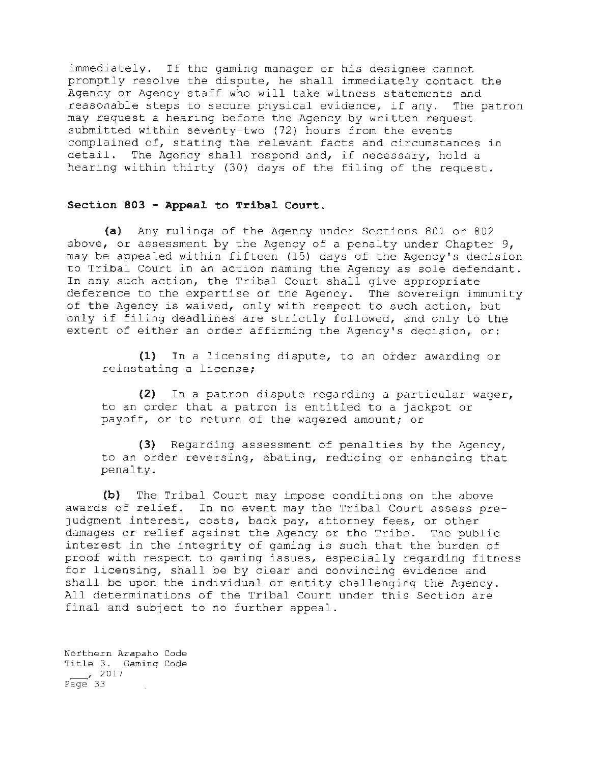immediately. If the gaming manager or his designee cannot promptly resolve the dispute, he shall immediately contact the Agency or Agency staff who will take witness statements and reasonable steps to secure physical evidence, if any. The patron may request a hearing before the Agency by written request submitted within seventy-two (72) hours from the events complained of, stating the relevant facts and circumstances in detail. The Agency shall respond and, if necessary, hold a hearing within thirty (30) days of the filing of the request.

### **Section 803 - Appeal to Tribal Court.**

**(a)** Any rulings of the Agency under Sections 801 or 802 above, or assessment by the Agency of a penalty under Chapter 9, may be appealed within fifteen (15) days of the Agency's decision to Tribal Court in an action naming the Agency as sole defendant. In any such action, the Tribal Court shall give appropriate deference to the expertise of the Agency. The sovereign immunity of the Agency is waived, only with respect to such action, but only if filing deadlines are strictly followed, and only to the extent of either an order affirming the Agency's decision, or:

**(1)** In a licensing dispute, to an order awarding or reinstating a license;

(2) In a patron dispute regarding a particular wager, to an order that a patron is entitled to a jackpot or payoff, or to return of the wagered amount; or

(3) Regarding assessment of penalties by the Agency, to an order reversing, abating, reducing or enhancing that penalty.

**(b)** The Tribal Court may impose conditions on the above awards of relief. In no event may the Tribal Court assess prejudgment interest, costs, back pay, attorney fees, or other damages or relief against the Agency or the Tribe. The public interest in the integrity of gaming *is* such that the burden of proof with respect to gaming issues, especially regarding fitness for licensing, shall be by clear and convincing evidence and shall be upon the individual or entity challenging the Agency. All determinations of the Tribal Court under this Section are final and subject to no further appeal.

Northern Arapaho Code Title 3. Gaming Code  $\frac{1}{2}$ , 2017 Page 33 т.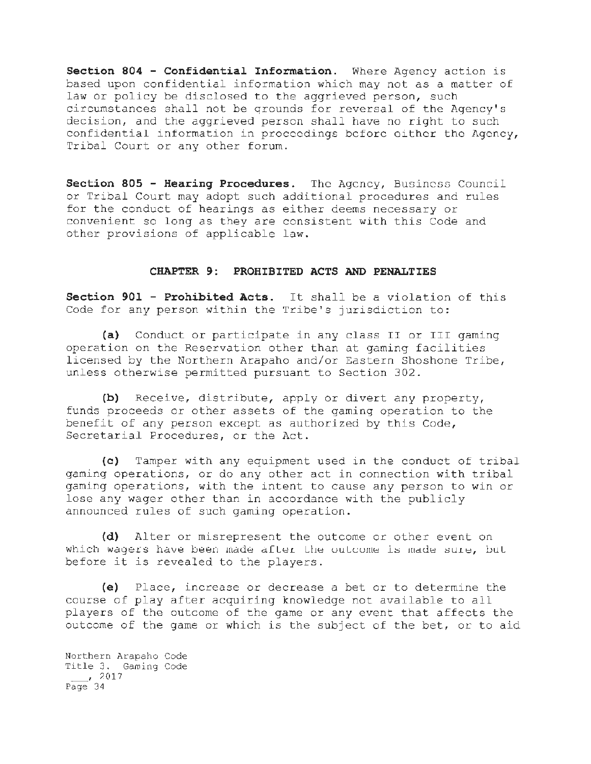**Section 804 - Confidential Information.** Where Agency action is based upon confidential information which may not as a matter of law or policy be disclosed to the aggrieved person, such circumstances shall not be qrounds for reversal of the Agency's decision, and the aggrieved person shall have no right to such confidential information in proceedings before either the Agency, Tribal Court or any other forum.

**Section 805 - Hearing Procedures.** The Agency, Business Council or Tribal Court may adopt such additional procedures and rules for the conduct of hearings as either deems necessary or convenient so long as they are consistent with this Code and other provisions of applicable law.

### **CHAPTER 9: PROHIBITED ACTS AND PENALTIES**

**Section 901 - Prohibited Acts.** It shall be a violation of this Code for any person within the Tribe's jurisdiction to:

**(a)** Conduct or participate in any class II or III gaming operation on the Reservation other than at gaming facilities licensed by the Northern Arapaho and/or Eastern Shoshone Tribe, unless otherwise permitted pursuant to Section 302.

**(b)** Receive, distribute, apply or divert any property, funds proceeds or other assets of the gaming operation to the benefit of any person except as authorized by this Code, Secretarial Procedures, or the Act.

**(c)** Tamper with any equipment used in the conduct of tribal gaming operations, or do any other act in connection with tribal gaming operations, with the intent to cause any person to win or lose any wager other than in accordance with the publicly announced rules of such gaming operation.

**(d)** Alter or misrepresent the outcome or other event on which wagers have been made after the outcome is made sure, but before it is revealed to the players.

**(e)** Place, increase or decrease a bet or to determine the course of play after acquiring knowledge not available to all players of the outcome of the game or any event that affects the outcome of the game or which is the subject of the bet, or to aid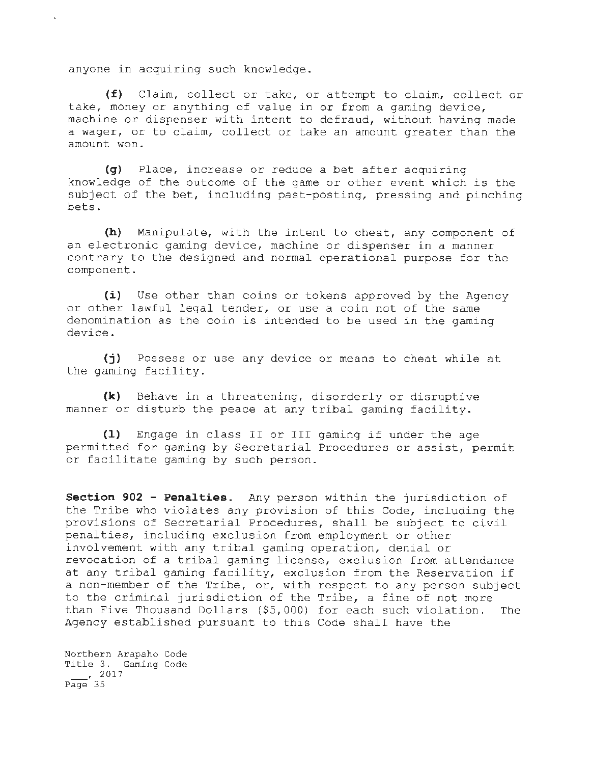anyone in acquiring such knowledge.

 $\mathbf{r}$ 

(£) Claim, collect or take, or attempt to claim, collect or take, money or anything of value in or from a gaming device, machine or dispenser with intent to defraud, without having made a wager, or to claim, collect or take an amount greater than the amount won.

**(g)** Place, increase or reduce a bet after acquiring knowledge of the outcome of the game or other event which is the subject of the bet, including past-posting, pressing and pinching bets.

**(h)** Manipulate, with the intent to cheat, any component of an electronic gaming device, machine or dispenser in a manner contrary to the designed and normal operational purpose for the component.

**(i)** Use other than coins or tokens approved by the Agency or other lawful legal tender, or use a coin not of the same denomination as the coin is intended to be used in the gaming device.

(j) Possess or use any device or means to cheat while at the gaming facility.

**(k)** Behave in a threatening, disorderly or disruptive manner or disturb the peace at any tribal gaming facility.

**(1)** Engage in class II or III gaming if under the age permitted for gaming by Secretarial Procedures or assist, permit or facilitate gaming by such person.

**Section 902 - Penalties.** Any person within the jurisdiction of the Tribe who violates any provision of this Code, including the provisions of Secretarial Procedures, shall be subject to civil penalties, including exclusion from employment or other involvement with any tribal gaming operation, denial or revocation of a tribal gaming license, exclusion from attendance at any tribal gaming facility, exclusion from the Reservation if a non-member of the Tribe, or, with respect to any person subject to the criminal jurisdiction of the Tribe, a fine of not more than Five Thousand Dollars (\$5,000) for each such violation. The Agency established pursuant to this Code shall have the

Northern Arapaho Code Title 3. Gaming Code  $\frac{1}{2017}$ Page 35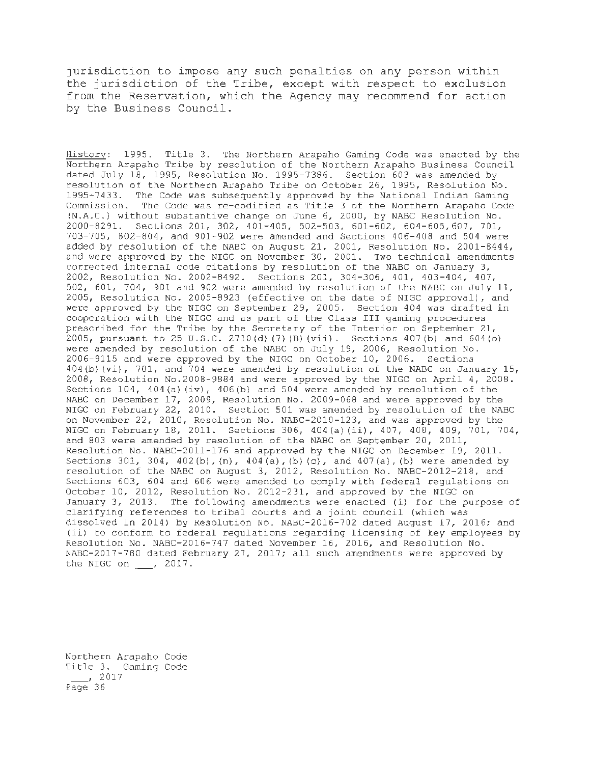jurisdiction to impose any such penalties on any person within the jurisdiction of the Tribe, except with respect to exclusion from the Reservation, which the Agency may recommend for action by the Business Council.

History: 1995. Title 3. The Northern Arapaho Gaming Code was enacted by the Northern Arapaho Tribe by resolution of the Northern Arapaho Business Council dated July 18, 1995, Resolution No. 1995-7386. Section 603 was amended by resolution of the Northern Arapaho Tribe on October 26, 1995, Resolution No. 1995-7433. The Code was subsequently approved by the National Indian Gaming Commission. The Code was re-codified as Title 3 of the Northern Arapaho Code (N.A.C.) without substantive change on June 6, 2000, by NABC Resolution No. 2000-8291. SecLions 201, 302, 401-405, 502-503, 601-602, 604-605, 607, 701, '/OJ-"/05, 802-804, and 901-902 were amended and Sections 406-408 and 504 were added by resolution of the NABC on August 21, 2001, Resolution No. 2001-8444, and were approved by the NIGC on November 30, 2001. Two technical amendments corrected internal code citations by resolution of the NABC on January 3, 2002, Resolution No. 2002-8492. Sections 201, 304-306, 401, 403-404, 407, 502, 601, 704, 901 and 902 were amended by resolution of the NABC on July 11, 2005, Resolution No. 2005-8923 (effective on the date of NIGC approval), and were approved by the NIGC on September 29, 2005. Section 404 was drafted in coopcration with the NIGC and as part of the Class III gaming procedures prescribed for the Tribe by the Secretary of the Interior on September 21, 2005, pursuant to 25 U.S.C. 2710 (d) (7) (B) (vii). Sections 407 (b) and 604 (o) were amended by resolution of the NABC on July 19, 2006, Resolution No. 2006-9115 and were approved by the NIGC on October 10, 2006. Sections 404(b) (vi}, 701, and 704 were amended by resolution of the NABC on January 15, 2008, Resolution No.2008-9884 and were approved by the NIGC on April 4, 2008. Sections 104, 404 (a) (iv), 406 (b) and 504 were amended by resolution of the NABC on December 17, 2009, Resolution No. 2009-068 and were approved by the NIGC on February 22, 2010. Section 501 was amended by resolution of the NABC on November 22, 2010, Resolution No. NABC-2010-123, and was approved by the NIGC on February 18, 2011. Sections 306, 404 (a) (ii), 407, 408, 409, 701, 704, and 803 were amended by resolution of the NABC on September 20, 2011, Resolution No. NABC-2011-176 and approved by the NIGC on December 19, 2011. Sections 301, 304, 402 (b), **(n),** 404 (a), (b) (c), and 407 (a), (b) were amended by resolution of the NABC on August 3, 2012, Resolution No. NABC-2012-218, and Sections 603, 604 and 606 were amended to comply with federal regulations on October 10, 2012, Resolution No. 2012-231, and approved by the NIGC on January 3, 2013. The following amendments were enacted (i) for the purpose of clarifying references to tribal courts and a joint council (which was dissolved in 2014) by Resolution No. NABC-2016-702 dated August 17, 2016; and (ii) to conform to federal regulations regarding licensing of key employees by Resolution No. NABC-2016-747 dated November 16, 2016, and Resolution No. NABC-2017-780 dated February 27, 2017; all such amendments were approved by the NIGC on  $\frac{1}{2}$ , 2017.